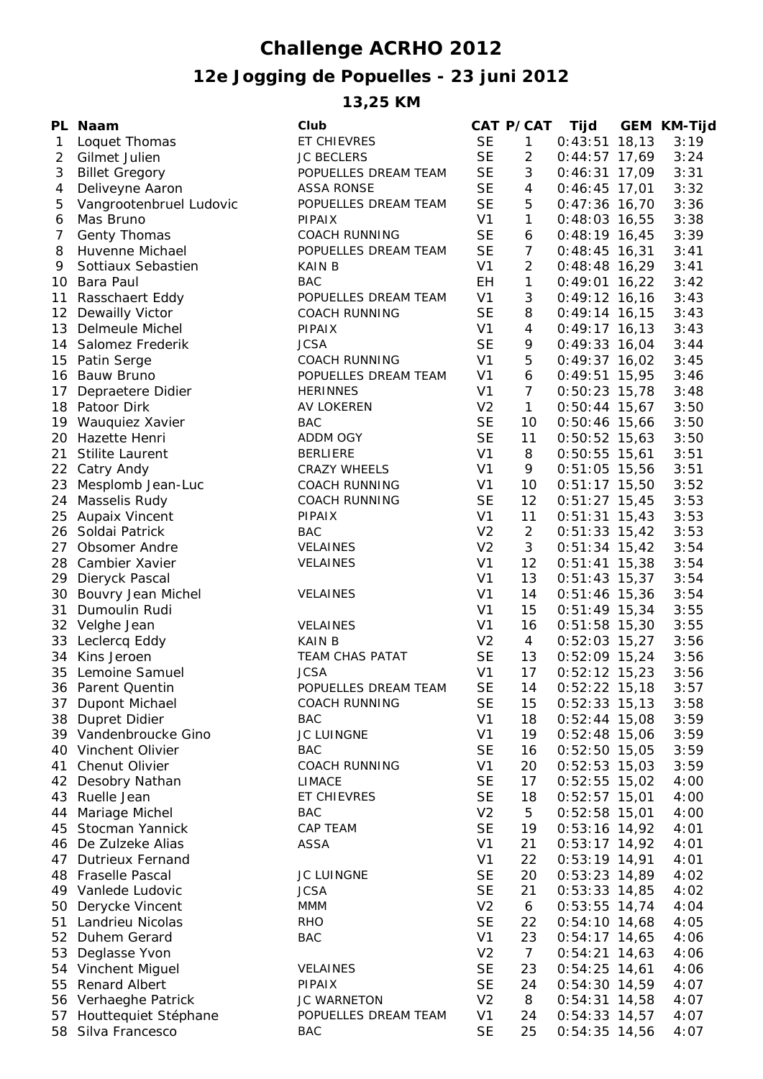## **Challenge ACRHO 2012**

## **12e Jogging de Popuelles - 23 juni 2012**

**13,25 KM**

|                | PL Naam                                  | Club                                  |                | CAT P/CAT               | Tijd            | <b>GEM KM-Tijd</b> |
|----------------|------------------------------------------|---------------------------------------|----------------|-------------------------|-----------------|--------------------|
| $\mathbf{1}$   | Loquet Thomas                            | ET CHIEVRES                           | <b>SE</b>      | $\mathbf{1}$            | $0:43:51$ 18,13 | 3:19               |
| $\overline{2}$ | Gilmet Julien                            | <b>JC BECLERS</b>                     | <b>SE</b>      | $\overline{2}$          | $0:44:57$ 17,69 | 3:24               |
| 3              | <b>Billet Gregory</b>                    | POPUELLES DREAM TEAM                  | <b>SE</b>      | 3                       | $0:46:31$ 17,09 | 3:31               |
| 4              | Deliveyne Aaron                          | <b>ASSA RONSE</b>                     | <b>SE</b>      | $\overline{\mathbf{4}}$ | $0:46:45$ 17,01 | 3:32               |
| 5              | Vangrootenbruel Ludovic                  | POPUELLES DREAM TEAM                  | <b>SE</b>      | 5                       | $0:47:36$ 16,70 | 3:36               |
| 6              | Mas Bruno                                | <b>PIPAIX</b>                         | V <sub>1</sub> | $\mathbf{1}$            | $0:48:03$ 16,55 | 3:38               |
| 7              | Genty Thomas                             | <b>COACH RUNNING</b>                  | <b>SE</b>      | 6                       | $0:48:19$ 16,45 | 3:39               |
| 8              | Huvenne Michael                          | POPUELLES DREAM TEAM                  | <b>SE</b>      | $\overline{7}$          | $0:48:45$ 16,31 | 3:41               |
| 9              | Sottiaux Sebastien                       | <b>KAIN B</b>                         | V <sub>1</sub> | $\overline{2}$          | $0:48:48$ 16,29 | 3:41               |
|                | 10 Bara Paul                             | <b>BAC</b>                            | EH             | $\mathbf{1}$            | $0:49:01$ 16,22 | 3:42               |
|                | 11 Rasschaert Eddy                       | POPUELLES DREAM TEAM                  | V <sub>1</sub> | 3                       | $0:49:12$ 16,16 | 3:43               |
|                |                                          |                                       | <b>SE</b>      | 8                       |                 | 3:43               |
|                | 12 Dewailly Victor<br>13 Delmeule Michel | <b>COACH RUNNING</b><br><b>PIPAIX</b> | V <sub>1</sub> | $\overline{4}$          | $0:49:14$ 16,15 |                    |
|                |                                          |                                       |                |                         | $0:49:17$ 16,13 | 3:43               |
|                | 14 Salomez Frederik                      | <b>JCSA</b>                           | <b>SE</b>      | 9                       | $0:49:33$ 16,04 | 3:44               |
|                | 15 Patin Serge                           | <b>COACH RUNNING</b>                  | V <sub>1</sub> | 5                       | $0:49:37$ 16,02 | 3:45               |
|                | 16 Bauw Bruno                            | POPUELLES DREAM TEAM                  | V <sub>1</sub> | 6                       | $0:49:51$ 15,95 | 3:46               |
| 17             | Depraetere Didier                        | <b>HERINNES</b>                       | V <sub>1</sub> | $\overline{7}$          | $0:50:23$ 15,78 | 3:48               |
|                | 18 Patoor Dirk                           | AV LOKEREN                            | V <sub>2</sub> | $\mathbf{1}$            | $0:50:44$ 15,67 | 3:50               |
|                | 19 Wauquiez Xavier                       | <b>BAC</b>                            | <b>SE</b>      | 10                      | $0:50:46$ 15,66 | 3:50               |
|                | 20 Hazette Henri                         | ADDM OGY                              | <b>SE</b>      | 11                      | $0:50:52$ 15,63 | 3:50               |
| 21             | Stilite Laurent                          | <b>BERLIERE</b>                       | V <sub>1</sub> | 8                       | $0:50:55$ 15,61 | 3:51               |
|                | 22 Catry Andy                            | CRAZY WHEELS                          | V <sub>1</sub> | 9                       | $0:51:05$ 15,56 | 3:51               |
|                | 23 Mesplomb Jean-Luc                     | <b>COACH RUNNING</b>                  | V <sub>1</sub> | 10                      | $0:51:17$ 15,50 | 3:52               |
|                | 24 Masselis Rudy                         | <b>COACH RUNNING</b>                  | <b>SE</b>      | 12                      | $0:51:27$ 15,45 | 3:53               |
|                | 25 Aupaix Vincent                        | <b>PIPAIX</b>                         | V <sub>1</sub> | 11                      | $0:51:31$ 15,43 | 3:53               |
|                | 26 Soldai Patrick                        | <b>BAC</b>                            | V <sub>2</sub> | $\overline{2}$          | $0:51:33$ 15,42 | 3:53               |
|                | 27 Obsomer Andre                         | VELAINES                              | V <sub>2</sub> | 3                       | $0:51:34$ 15,42 | 3:54               |
|                | 28 Cambier Xavier                        | VELAINES                              | V <sub>1</sub> | 12                      | $0:51:41$ 15,38 | 3:54               |
|                | 29 Dieryck Pascal                        |                                       | V <sub>1</sub> | 13                      | $0:51:43$ 15,37 | 3:54               |
|                | 30 Bouvry Jean Michel                    | VELAINES                              | V <sub>1</sub> | 14                      | $0:51:46$ 15,36 | 3:54               |
|                | 31 Dumoulin Rudi                         |                                       | V <sub>1</sub> | 15                      | $0:51:49$ 15,34 | 3:55               |
|                | 32 Velghe Jean                           | <b>VELAINES</b>                       | V <sub>1</sub> | 16                      |                 | 3:55               |
|                |                                          | <b>KAIN B</b>                         |                |                         | $0:51:58$ 15,30 |                    |
|                | 33 Leclercq Eddy                         |                                       | V <sub>2</sub> | $\overline{4}$          | $0:52:03$ 15,27 | 3:56               |
|                | 34 Kins Jeroen                           | <b>TEAM CHAS PATAT</b>                | <b>SE</b>      | 13                      | $0:52:09$ 15,24 | 3:56               |
|                | 35 Lemoine Samuel                        | <b>JCSA</b>                           | V <sub>1</sub> | 17                      | $0:52:12$ 15,23 | 3:56               |
|                | 36 Parent Quentin                        | POPUELLES DREAM TEAM                  | <b>SE</b>      | 14                      | $0:52:22$ 15,18 | 3:57               |
|                | 37 Dupont Michael                        | <b>COACH RUNNING</b>                  | <b>SE</b>      | 15                      | $0:52:33$ 15,13 | 3:58               |
|                | 38 Dupret Didier                         | <b>BAC</b>                            | V <sub>1</sub> | 18                      | $0:52:44$ 15,08 | 3:59               |
|                | 39 Vandenbroucke Gino                    | JC LUINGNE                            | V <sub>1</sub> | 19                      | $0:52:48$ 15,06 | 3:59               |
|                | 40 Vinchent Olivier                      | <b>BAC</b>                            | <b>SE</b>      | 16                      | $0:52:50$ 15,05 | 3:59               |
| 41             | Chenut Olivier                           | <b>COACH RUNNING</b>                  | V <sub>1</sub> | 20                      | $0:52:53$ 15,03 | 3:59               |
|                | 42 Desobry Nathan                        | <b>LIMACE</b>                         | <b>SE</b>      | 17                      | $0:52:55$ 15,02 | 4:00               |
| 43             | Ruelle Jean                              | ET CHIEVRES                           | <b>SE</b>      | 18                      | $0:52:57$ 15,01 | 4:00               |
| 44             | Mariage Michel                           | <b>BAC</b>                            | V <sub>2</sub> | 5                       | $0:52:58$ 15,01 | 4:00               |
| 45             | Stocman Yannick                          | <b>CAP TEAM</b>                       | <b>SE</b>      | 19                      | $0:53:16$ 14,92 | 4:01               |
| 46.            | De Zulzeke Alias                         | <b>ASSA</b>                           | V <sub>1</sub> | 21                      | $0:53:17$ 14,92 | 4:01               |
| 47             | <b>Dutrieux Fernand</b>                  |                                       | V <sub>1</sub> | 22                      | $0:53:19$ 14,91 | 4:01               |
|                | 48 Fraselle Pascal                       | <b>JC LUINGNE</b>                     | <b>SE</b>      | 20                      | $0:53:23$ 14,89 | 4:02               |
|                | 49 Vanlede Ludovic                       | <b>JCSA</b>                           | <b>SE</b>      | 21                      | $0:53:33$ 14,85 | 4:02               |
| 50             | Derycke Vincent                          | <b>MMM</b>                            | V <sub>2</sub> | 6                       | $0:53:55$ 14,74 | 4:04               |
| 51             | Landrieu Nicolas                         | RHO                                   | <b>SE</b>      | 22                      | $0:54:10$ 14,68 | 4:05               |
|                | 52 Duhem Gerard                          | <b>BAC</b>                            | V <sub>1</sub> | 23                      | $0:54:17$ 14,65 | 4:06               |
| 53             | Deglasse Yvon                            |                                       | V <sub>2</sub> | $\overline{7}$          | $0:54:21$ 14,63 | 4:06               |
|                | 54 Vinchent Miguel                       | <b>VELAINES</b>                       | <b>SE</b>      | 23                      | $0:54:25$ 14,61 | 4:06               |
| 55             | <b>Renard Albert</b>                     | <b>PIPAIX</b>                         | <b>SE</b>      | 24                      | $0:54:30$ 14,59 | 4:07               |
|                |                                          |                                       | V <sub>2</sub> | 8                       |                 |                    |
|                | 56 Verhaeghe Patrick                     | <b>JC WARNETON</b>                    |                |                         | $0:54:31$ 14,58 | 4:07               |
| 57             | Houttequiet Stéphane                     | POPUELLES DREAM TEAM                  | V <sub>1</sub> | 24                      | $0:54:33$ 14,57 | 4:07               |
|                | 58 Silva Francesco                       | BAC                                   | <b>SE</b>      | 25                      | $0:54:35$ 14,56 | 4:07               |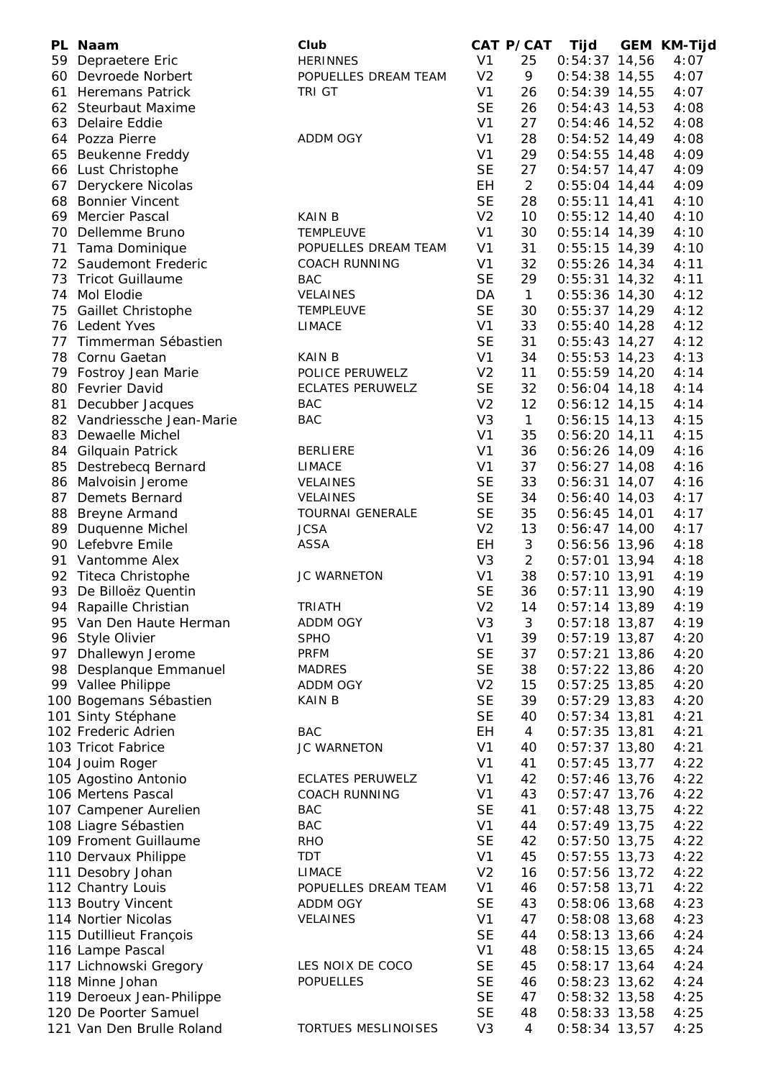|    | PL Naam                                  | Club                       |                             | CAT P/CAT      | <b>Tijd</b>                      | <b>GEM KM-Tijd</b> |
|----|------------------------------------------|----------------------------|-----------------------------|----------------|----------------------------------|--------------------|
|    | 59 Depraetere Eric                       | <b>HERINNES</b>            | V <sub>1</sub>              | 25             | $0:54:37$ 14,56                  | 4:07               |
|    | 60 Devroede Norbert                      | POPUELLES DREAM TEAM       | V <sub>2</sub>              | 9              | $0:54:38$ 14,55                  | 4:07               |
|    | 61 Heremans Patrick                      | TRI GT                     | V <sub>1</sub>              | 26             | $0:54:39$ 14,55                  | 4:07               |
|    | 62 Steurbaut Maxime                      |                            | <b>SE</b>                   | 26             | $0:54:43$ 14,53                  | 4:08               |
|    | 63 Delaire Eddie                         |                            | V <sub>1</sub>              | 27             | 0:54:46 14,52                    | 4:08               |
|    | 64 Pozza Pierre                          | <b>ADDM OGY</b>            | V <sub>1</sub>              | 28             | $0:54:52$ 14,49                  | 4:08               |
|    | 65 Beukenne Freddy                       |                            | V <sub>1</sub>              | 29             | $0:54:55$ 14,48                  | 4:09               |
|    | 66 Lust Christophe                       |                            | <b>SE</b>                   | 27             | $0:54:57$ 14,47                  | 4:09               |
| 67 | Deryckere Nicolas                        |                            | EH                          | $\overline{2}$ | $0:55:04$ 14,44                  | 4:09               |
|    | 68 Bonnier Vincent                       |                            | <b>SE</b>                   | 28             | $0:55:11$ 14,41                  | 4:10               |
| 69 | <b>Mercier Pascal</b>                    | <b>KAIN B</b>              | V <sub>2</sub>              | 10             | $0:55:12$ 14,40                  | 4:10               |
| 70 | Dellemme Bruno                           | <b>TEMPLEUVE</b>           | V <sub>1</sub>              | 30             | $0:55:14$ 14,39                  | 4:10               |
|    | 71 Tama Dominique                        | POPUELLES DREAM TEAM       | V <sub>1</sub>              | 31             | $0:55:15$ 14,39                  | 4:10               |
|    | 72 Saudemont Frederic                    | <b>COACH RUNNING</b>       | V <sub>1</sub>              | 32             | $0:55:26$ 14,34                  | 4:11               |
|    | 73 Tricot Guillaume                      | <b>BAC</b>                 | <b>SE</b>                   | 29             | $0:55:31$ 14,32                  | 4:11               |
|    | 74 Mol Elodie                            | VELAINES                   | DA                          | $\mathbf{1}$   | $0:55:36$ 14,30                  | 4:12               |
|    | 75 Gaillet Christophe                    | <b>TEMPLEUVE</b>           | <b>SE</b>                   | 30             | $0:55:37$ 14,29                  | 4:12               |
|    | 76 Ledent Yves                           | <b>LIMACE</b>              | V <sub>1</sub>              | 33             | $0:55:40$ 14,28                  | 4:12               |
|    | 77 Timmerman Sébastien                   |                            | <b>SE</b>                   | 31             | $0:55:43$ 14,27                  | 4:12               |
|    | 78 Cornu Gaetan                          | <b>KAIN B</b>              | V <sub>1</sub>              | 34             | $0:55:53$ 14,23                  | 4:13               |
|    | 79 Fostroy Jean Marie                    | POLICE PERUWELZ            | V <sub>2</sub>              | 11             | $0:55:59$ 14,20                  | 4:14               |
|    | 80 Fevrier David                         | <b>ECLATES PERUWELZ</b>    | <b>SE</b>                   | 32             | $0:56:04$ 14,18                  | 4:14               |
|    | 81 Decubber Jacques                      | BAC                        | V <sub>2</sub>              | 12             | $0:56:12$ 14,15                  | 4:14               |
|    | 82 Vandriessche Jean-Marie               | <b>BAC</b>                 | V <sub>3</sub>              | $\mathbf{1}$   | $0:56:15$ 14,13                  | 4:15               |
|    | 83 Dewaelle Michel                       |                            | V <sub>1</sub>              | 35             | $0:56:20$ 14,11                  | 4:15               |
|    | 84 Gilquain Patrick                      | <b>BERLIERE</b>            | V <sub>1</sub>              | 36             | $0:56:26$ 14,09                  | 4:16               |
|    | 85 Destrebecq Bernard                    | <b>LIMACE</b>              | V <sub>1</sub><br><b>SE</b> | 37<br>33       | $0:56:27$ 14,08                  | 4:16               |
|    | 86 Malvoisin Jerome                      | <b>VELAINES</b>            | <b>SE</b>                   |                | $0:56:31$ 14,07                  | 4:16               |
|    | 87 Demets Bernard                        | <b>VELAINES</b>            |                             | 34<br>35       | $0:56:40$ 14,03                  | 4:17               |
|    | 88 Breyne Armand                         | <b>TOURNAI GENERALE</b>    | <b>SE</b><br>V <sub>2</sub> | 13             | $0:56:45$ 14,01                  | 4:17               |
|    | 89 Duquenne Michel<br>90 Lefebvre Emile  | <b>JCSA</b><br><b>ASSA</b> | EH                          | 3              | $0:56:47$ 14,00                  | 4:17<br>4:18       |
|    |                                          |                            | V <sub>3</sub>              | $\overline{2}$ | 0:56:56 13,96<br>$0:57:01$ 13,94 | 4:18               |
|    | 91 Vantomme Alex<br>92 Titeca Christophe | <b>JC WARNETON</b>         | V <sub>1</sub>              | 38             | $0:57:10$ 13,91                  | 4:19               |
| 93 | De Billoëz Quentin                       |                            | <b>SE</b>                   | 36             | $0:57:11$ 13,90                  | 4:19               |
|    | 94 Rapaille Christian                    | <b>TRIATH</b>              | V <sub>2</sub>              | 14             | $0:57:14$ 13,89                  | 4:19               |
|    | 95 Van Den Haute Herman                  | <b>ADDM OGY</b>            | V <sub>3</sub>              | 3              | $0:57:18$ 13,87                  | 4:19               |
|    | 96 Style Olivier                         | <b>SPHO</b>                | V <sub>1</sub>              | 39             | $0:57:19$ 13,87                  | 4:20               |
|    | 97 Dhallewyn Jerome                      | <b>PRFM</b>                | <b>SE</b>                   | 37             | $0:57:21$ 13,86                  | 4:20               |
|    | 98 Desplanque Emmanuel                   | <b>MADRES</b>              | <b>SE</b>                   | 38             | $0:57:22$ 13,86                  | 4:20               |
|    | 99 Vallee Philippe                       | ADDM OGY                   | V <sub>2</sub>              | 15             | $0:57:25$ 13,85                  | 4:20               |
|    | 100 Bogemans Sébastien                   | <b>KAIN B</b>              | <b>SE</b>                   | 39             | $0:57:29$ 13,83                  | 4:20               |
|    | 101 Sinty Stéphane                       |                            | <b>SE</b>                   | 40             | $0:57:34$ 13,81                  | 4:21               |
|    | 102 Frederic Adrien                      | <b>BAC</b>                 | <b>EH</b>                   | $\overline{4}$ | $0:57:35$ 13,81                  | 4:21               |
|    | 103 Tricot Fabrice                       | JC WARNETON                | V <sub>1</sub>              | 40             | $0:57:37$ 13,80                  | 4:21               |
|    | 104 Jouim Roger                          |                            | V <sub>1</sub>              | 41             | $0:57:45$ 13,77                  | 4:22               |
|    | 105 Agostino Antonio                     | <b>ECLATES PERUWELZ</b>    | V <sub>1</sub>              | 42             | $0:57:46$ 13,76                  | 4:22               |
|    | 106 Mertens Pascal                       | <b>COACH RUNNING</b>       | V <sub>1</sub>              | 43             | $0:57:47$ 13,76                  | 4:22               |
|    | 107 Campener Aurelien                    | <b>BAC</b>                 | <b>SE</b>                   | 41             | $0:57:48$ 13,75                  | 4:22               |
|    | 108 Liagre Sébastien                     | <b>BAC</b>                 | V <sub>1</sub>              | 44             | $0:57:49$ 13,75                  | 4:22               |
|    | 109 Froment Guillaume                    | <b>RHO</b>                 | <b>SE</b>                   | 42             | $0:57:50$ 13,75                  | 4:22               |
|    | 110 Dervaux Philippe                     | <b>TDT</b>                 | V <sub>1</sub>              | 45             | $0:57:55$ 13,73                  | 4:22               |
|    | 111 Desobry Johan                        | <b>LIMACE</b>              | V <sub>2</sub>              | 16             | $0:57:56$ 13,72                  | 4:22               |
|    | 112 Chantry Louis                        | POPUELLES DREAM TEAM       | V <sub>1</sub>              | 46             | $0:57:58$ 13,71                  | 4:22               |
|    | 113 Boutry Vincent                       | ADDM OGY                   | <b>SE</b>                   | 43             | $0:58:06$ 13,68                  | 4:23               |
|    | 114 Nortier Nicolas                      | VELAINES                   | V <sub>1</sub>              | 47             | $0:58:08$ 13,68                  | 4:23               |
|    | 115 Dutillieut François                  |                            | <b>SE</b>                   | 44             | $0:58:13$ 13,66                  | 4:24               |
|    | 116 Lampe Pascal                         |                            | V <sub>1</sub>              | 48             | $0:58:15$ 13,65                  | 4:24               |
|    | 117 Lichnowski Gregory                   | LES NOIX DE COCO           | <b>SE</b>                   | 45             | $0:58:17$ 13,64                  | 4:24               |
|    | 118 Minne Johan                          | <b>POPUELLES</b>           | <b>SE</b>                   | 46             | $0:58:23$ 13,62                  | 4:24               |
|    | 119 Deroeux Jean-Philippe                |                            | <b>SE</b>                   | 47             | $0:58:32$ 13,58                  | 4:25               |
|    | 120 De Poorter Samuel                    |                            | <b>SE</b>                   | 48             | $0:58:33$ 13,58                  | 4:25               |
|    | 121 Van Den Brulle Roland                | TORTUES MESLINOISES        | V <sub>3</sub>              | 4              | $0:58:34$ 13,57                  | 4:25               |
|    |                                          |                            |                             |                |                                  |                    |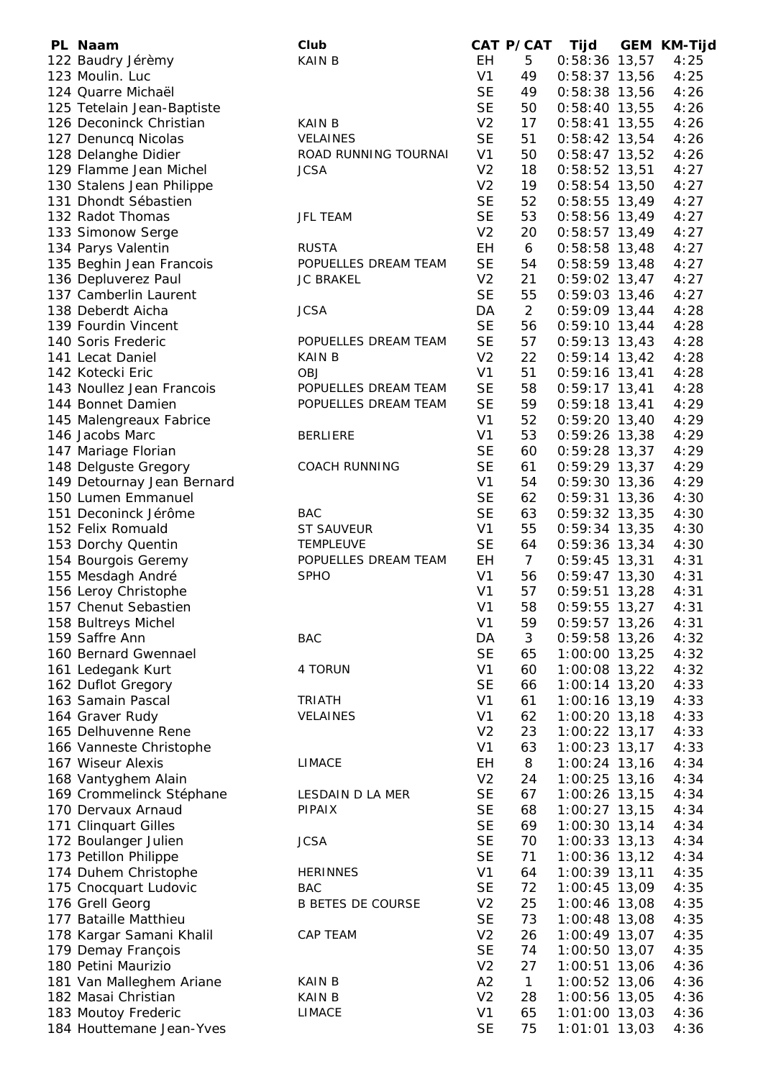| PL Naam                    | Club                     |                | CAT P/CAT       | Tijd            | <b>GEM KM-Tijd</b> |
|----------------------------|--------------------------|----------------|-----------------|-----------------|--------------------|
| 122 Baudry Jérèmy          | <b>KAIN B</b>            | EH             | 5               | $0:58:36$ 13,57 | 4:25               |
| 123 Moulin. Luc            |                          | V <sub>1</sub> | 49              | $0:58:37$ 13,56 | 4:25               |
| 124 Quarre Michaël         |                          | <b>SE</b>      | 49              | 0:58:38 13,56   | 4:26               |
| 125 Tetelain Jean-Baptiste |                          | <b>SE</b>      | 50              | $0:58:40$ 13,55 | 4:26               |
| 126 Deconinck Christian    | <b>KAIN B</b>            | V <sub>2</sub> | 17              | $0:58:41$ 13,55 | 4:26               |
| 127 Denuncq Nicolas        | <b>VELAINES</b>          | <b>SE</b>      | 51              | $0:58:42$ 13,54 | 4:26               |
| 128 Delanghe Didier        | ROAD RUNNING TOURNAI     | V <sub>1</sub> | 50              |                 | 4:26               |
| 129 Flamme Jean Michel     | <b>JCSA</b>              | V <sub>2</sub> | 18              | $0:58:47$ 13,52 | 4:27               |
|                            |                          | V <sub>2</sub> |                 | $0:58:52$ 13,51 |                    |
| 130 Stalens Jean Philippe  |                          |                | 19              | $0:58:54$ 13,50 | 4:27               |
| 131 Dhondt Sébastien       |                          | <b>SE</b>      | 52              | $0:58:55$ 13,49 | 4:27               |
| 132 Radot Thomas           | JFL TEAM                 | <b>SE</b>      | 53              | $0:58:56$ 13,49 | 4:27               |
| 133 Simonow Serge          |                          | V <sub>2</sub> | 20              | $0:58:57$ 13,49 | 4:27               |
| 134 Parys Valentin         | <b>RUSTA</b>             | EH             | 6               | $0:58:58$ 13,48 | 4:27               |
| 135 Beghin Jean Francois   | POPUELLES DREAM TEAM     | <b>SE</b>      | 54              | $0:58:59$ 13,48 | 4:27               |
| 136 Depluverez Paul        | <b>JC BRAKEL</b>         | V <sub>2</sub> | 21              | $0:59:02$ 13,47 | 4:27               |
| 137 Camberlin Laurent      |                          | <b>SE</b>      | 55              | $0:59:03$ 13,46 | 4:27               |
| 138 Deberdt Aicha          | <b>JCSA</b>              | DA             | $\overline{2}$  | $0:59:09$ 13,44 | 4:28               |
| 139 Fourdin Vincent        |                          | <b>SE</b>      | 56              | $0:59:10$ 13,44 | 4:28               |
| 140 Soris Frederic         | POPUELLES DREAM TEAM     | <b>SE</b>      | 57              | $0:59:13$ 13,43 | 4:28               |
| 141 Lecat Daniel           | <b>KAIN B</b>            | V <sub>2</sub> | 22              | $0:59:14$ 13,42 | 4:28               |
| 142 Kotecki Eric           | <b>OBJ</b>               | V <sub>1</sub> | 51              | $0:59:16$ 13,41 | 4:28               |
| 143 Noullez Jean Francois  | POPUELLES DREAM TEAM     | <b>SE</b>      | 58              | $0:59:17$ 13,41 | 4:28               |
| 144 Bonnet Damien          | POPUELLES DREAM TEAM     | <b>SE</b>      | 59              | $0:59:18$ 13,41 | 4:29               |
| 145 Malengreaux Fabrice    |                          | V1             | 52              | $0:59:20$ 13,40 | 4:29               |
| 146 Jacobs Marc            | <b>BERLIERE</b>          | V <sub>1</sub> | 53              | $0:59:26$ 13,38 | 4:29               |
| 147 Mariage Florian        |                          | <b>SE</b>      | 60              | $0:59:28$ 13,37 | 4:29               |
| 148 Delguste Gregory       | <b>COACH RUNNING</b>     | <b>SE</b>      | 61              | $0:59:29$ 13,37 | 4:29               |
| 149 Detournay Jean Bernard |                          | V <sub>1</sub> | 54              | $0:59:30$ 13,36 | 4:29               |
| 150 Lumen Emmanuel         |                          | <b>SE</b>      | 62              | $0:59:31$ 13,36 | 4:30               |
| 151 Deconinck Jérôme       | <b>BAC</b>               | <b>SE</b>      | 63              |                 | 4:30               |
|                            |                          |                | 55              | $0:59:32$ 13,35 |                    |
| 152 Felix Romuald          | <b>ST SAUVEUR</b>        | V <sub>1</sub> |                 | $0:59:34$ 13,35 | 4:30               |
| 153 Dorchy Quentin         | <b>TEMPLEUVE</b>         | <b>SE</b>      | 64              | $0:59:36$ 13,34 | 4:30               |
| 154 Bourgois Geremy        | POPUELLES DREAM TEAM     | <b>EH</b>      | $7\overline{ }$ | $0:59:45$ 13,31 | 4:31               |
| 155 Mesdagh André          | <b>SPHO</b>              | V <sub>1</sub> | 56              | $0:59:47$ 13,30 | 4:31               |
| 156 Leroy Christophe       |                          | V <sub>1</sub> | 57              | $0:59:51$ 13,28 | 4:31               |
| 157 Chenut Sebastien       |                          | V <sub>1</sub> | 58              | $0:59:55$ 13,27 | 4:31               |
| 158 Bultreys Michel        |                          | V <sub>1</sub> | 59              | $0:59:57$ 13,26 | 4:31               |
| 159 Saffre Ann             | <b>BAC</b>               | DA             | 3               | $0:59:58$ 13,26 | 4:32               |
| 160 Bernard Gwennael       |                          | <b>SE</b>      | 65              | $1:00:00$ 13,25 | 4:32               |
| 161 Ledegank Kurt          | 4 TORUN                  | V <sub>1</sub> | 60              | 1:00:08 13,22   | 4:32               |
| 162 Duflot Gregory         |                          | <b>SE</b>      | 66              | 1:00:14 13,20   | 4:33               |
| 163 Samain Pascal          | <b>TRIATH</b>            | V <sub>1</sub> | 61              | 1:00:16 13,19   | 4:33               |
| 164 Graver Rudy            | VELAINES                 | V <sub>1</sub> | 62              | 1:00:20 13,18   | 4:33               |
| 165 Delhuvenne Rene        |                          | V <sub>2</sub> | 23              | 1:00:22 13,17   | 4:33               |
| 166 Vanneste Christophe    |                          | V <sub>1</sub> | 63              | 1:00:23 13,17   | 4:33               |
| 167 Wiseur Alexis          | <b>LIMACE</b>            | EH             | 8               | 1:00:24 13,16   | 4:34               |
| 168 Vantyghem Alain        |                          | V <sub>2</sub> | 24              | $1:00:25$ 13,16 | 4:34               |
| 169 Crommelinck Stéphane   | LESDAIN D LA MER         | <b>SE</b>      | 67              | 1:00:26 13,15   | 4:34               |
| 170 Dervaux Arnaud         | <b>PIPAIX</b>            | <b>SE</b>      | 68              | $1:00:27$ 13,15 | 4:34               |
| 171 Clinquart Gilles       |                          | <b>SE</b>      | 69              | 1:00:30 13,14   | 4:34               |
| 172 Boulanger Julien       | <b>JCSA</b>              | <b>SE</b>      | 70              | $1:00:33$ 13,13 | 4:34               |
| 173 Petillon Philippe      |                          | <b>SE</b>      | 71              | $1:00:36$ 13,12 | 4:34               |
| 174 Duhem Christophe       | <b>HERINNES</b>          | V <sub>1</sub> | 64              | $1:00:39$ 13,11 | 4:35               |
| 175 Cnocquart Ludovic      | <b>BAC</b>               | <b>SE</b>      | 72              | $1:00:45$ 13,09 | 4:35               |
| 176 Grell Georg            | <b>B BETES DE COURSE</b> | V <sub>2</sub> | 25              | $1:00:46$ 13,08 | 4:35               |
| 177 Bataille Matthieu      |                          | <b>SE</b>      | 73              |                 | 4:35               |
|                            |                          |                |                 | $1:00:48$ 13,08 |                    |
| 178 Kargar Samani Khalil   | CAP TEAM                 | V <sub>2</sub> | 26              | $1:00:49$ 13,07 | 4:35               |
| 179 Demay François         |                          | <b>SE</b>      | 74              | $1:00:50$ 13,07 | 4:35               |
| 180 Petini Maurizio        |                          | V <sub>2</sub> | 27              | $1:00:51$ 13,06 | 4:36               |
| 181 Van Malleghem Ariane   | <b>KAIN B</b>            | A2             | $\mathbf{1}$    | $1:00:52$ 13,06 | 4:36               |
| 182 Masai Christian        | <b>KAIN B</b>            | V <sub>2</sub> | 28              | $1:00:56$ 13,05 | 4:36               |
| 183 Moutoy Frederic        | <b>LIMACE</b>            | V <sub>1</sub> | 65              | 1:01:00 13,03   | 4:36               |
| 184 Houttemane Jean-Yves   |                          | <b>SE</b>      | 75              | $1:01:01$ 13,03 | 4:36               |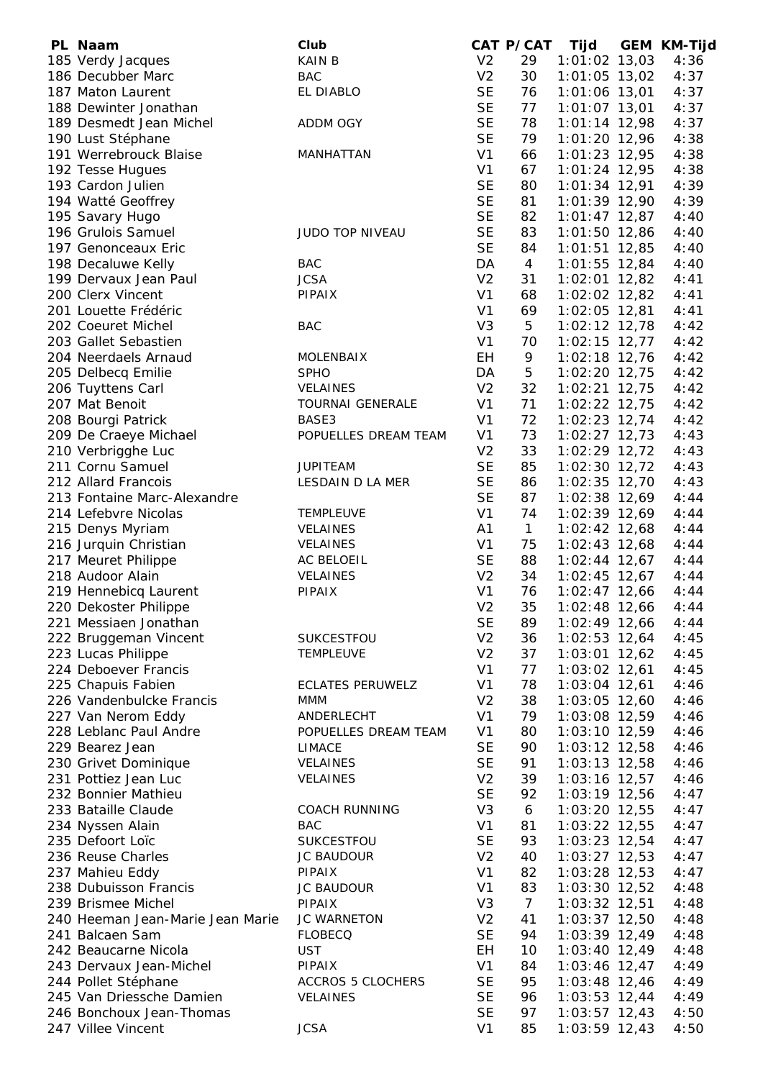| PL Naam                          | Club                     |                | CAT P/CAT      | Tijd            | <b>GEM KM-Tijd</b> |
|----------------------------------|--------------------------|----------------|----------------|-----------------|--------------------|
| 185 Verdy Jacques                | <b>KAINB</b>             | V <sub>2</sub> | 29             | $1:01:02$ 13,03 | 4:36               |
| 186 Decubber Marc                | <b>BAC</b>               | V <sub>2</sub> | 30             | $1:01:05$ 13,02 | 4:37               |
| 187 Maton Laurent                | EL DIABLO                | <b>SE</b>      | 76             | 1:01:06 13,01   | 4:37               |
| 188 Dewinter Jonathan            |                          | <b>SE</b>      | 77             | $1:01:07$ 13,01 | 4:37               |
| 189 Desmedt Jean Michel          | ADDM OGY                 | <b>SE</b>      | 78             | $1:01:14$ 12,98 | 4:37               |
| 190 Lust Stéphane                |                          | <b>SE</b>      | 79             | 1:01:20 12,96   | 4:38               |
| 191 Werrebrouck Blaise           | MANHATTAN                | V <sub>1</sub> | 66             | $1:01:23$ 12,95 | 4:38               |
| 192 Tesse Hugues                 |                          | V <sub>1</sub> | 67             | $1:01:24$ 12,95 | 4:38               |
| 193 Cardon Julien                |                          | <b>SE</b>      | 80             | 1:01:34 12,91   | 4:39               |
|                                  |                          |                |                |                 |                    |
| 194 Watté Geoffrey               |                          | <b>SE</b>      | 81             | $1:01:39$ 12,90 | 4:39               |
| 195 Savary Hugo                  |                          | <b>SE</b>      | 82             | $1:01:47$ 12,87 | 4:40               |
| 196 Grulois Samuel               | <b>JUDO TOP NIVEAU</b>   | <b>SE</b>      | 83             | $1:01:50$ 12,86 | 4:40               |
| 197 Genonceaux Eric              |                          | <b>SE</b>      | 84             | $1:01:51$ 12,85 | 4:40               |
| 198 Decaluwe Kelly               | <b>BAC</b>               | DA             | $\overline{4}$ | $1:01:55$ 12,84 | 4:40               |
| 199 Dervaux Jean Paul            | <b>JCSA</b>              | V <sub>2</sub> | 31             | $1:02:01$ 12,82 | 4:41               |
| 200 Clerx Vincent                | PIPAIX                   | V <sub>1</sub> | 68             | $1:02:02$ 12,82 | 4:41               |
| 201 Louette Frédéric             |                          | V <sub>1</sub> | 69             | $1:02:05$ 12,81 | 4:41               |
| 202 Coeuret Michel               | <b>BAC</b>               | V <sub>3</sub> | 5              | $1:02:12$ 12,78 | 4:42               |
| 203 Gallet Sebastien             |                          | V <sub>1</sub> | 70             | $1:02:15$ 12,77 | 4:42               |
| 204 Neerdaels Arnaud             | MOLENBAIX                | EH             | 9              | $1:02:18$ 12,76 | 4:42               |
| 205 Delbecq Emilie               | <b>SPHO</b>              | DA             | 5              | $1:02:20$ 12,75 | 4:42               |
|                                  |                          | V <sub>2</sub> | 32             |                 |                    |
| 206 Tuyttens Carl                | <b>VELAINES</b>          |                |                | $1:02:21$ 12,75 | 4:42               |
| 207 Mat Benoit                   | <b>TOURNAI GENERALE</b>  | V <sub>1</sub> | 71             | $1:02:22$ 12,75 | 4:42               |
| 208 Bourgi Patrick               | BASE3                    | V <sub>1</sub> | 72             | $1:02:23$ 12,74 | 4:42               |
| 209 De Craeye Michael            | POPUELLES DREAM TEAM     | V <sub>1</sub> | 73             | $1:02:27$ 12,73 | 4:43               |
| 210 Verbrigghe Luc               |                          | V <sub>2</sub> | 33             | $1:02:29$ 12,72 | 4:43               |
| 211 Cornu Samuel                 | <b>JUPITEAM</b>          | <b>SE</b>      | 85             | $1:02:30$ 12,72 | 4:43               |
| 212 Allard Francois              | LESDAIN D LA MER         | <b>SE</b>      | 86             | 1:02:35 12,70   | 4:43               |
| 213 Fontaine Marc-Alexandre      |                          | <b>SE</b>      | 87             | $1:02:38$ 12,69 | 4:44               |
| 214 Lefebvre Nicolas             | <b>TEMPLEUVE</b>         | V <sub>1</sub> | 74             | 1:02:39 12,69   | 4:44               |
| 215 Denys Myriam                 | <b>VELAINES</b>          | A1             | $\mathbf{1}$   | $1:02:42$ 12,68 | 4:44               |
| 216 Jurquin Christian            | <b>VELAINES</b>          | V <sub>1</sub> | 75             | 1:02:43 12,68   | 4:44               |
| 217 Meuret Philippe              | AC BELOEIL               | <b>SE</b>      | 88             | $1:02:44$ 12,67 | 4:44               |
|                                  | VELAINES                 | V <sub>2</sub> | 34             |                 |                    |
| 218 Audoor Alain                 |                          |                |                | $1:02:45$ 12,67 | 4:44               |
| 219 Hennebicq Laurent            | PIPAIX                   | V <sub>1</sub> | 76             | $1:02:47$ 12,66 | 4:44               |
| 220 Dekoster Philippe            |                          | V <sub>2</sub> | 35             | $1:02:48$ 12,66 | 4:44               |
| 221 Messiaen Jonathan            |                          | <b>SE</b>      | 89             | 1:02:49 12,66   | 4:44               |
| 222 Bruggeman Vincent            | <b>SUKCESTFOU</b>        | V <sub>2</sub> | 36             | $1:02:53$ 12,64 | 4:45               |
| 223 Lucas Philippe               | <b>TEMPLEUVE</b>         | V <sub>2</sub> | 37             | $1:03:01$ 12,62 | 4:45               |
| 224 Deboever Francis             |                          | V <sub>1</sub> | 77             | 1:03:02 12,61   | 4:45               |
| 225 Chapuis Fabien               | <b>ECLATES PERUWELZ</b>  | V <sub>1</sub> | 78             | 1:03:04 12,61   | 4:46               |
| 226 Vandenbulcke Francis         | <b>MMM</b>               | V <sub>2</sub> | 38             | $1:03:05$ 12,60 | 4:46               |
| 227 Van Nerom Eddy               | ANDERLECHT               | V <sub>1</sub> | 79             | 1:03:08 12,59   | 4:46               |
| 228 Leblanc Paul Andre           | POPUELLES DREAM TEAM     | V <sub>1</sub> | 80             | $1:03:10$ 12,59 | 4:46               |
| 229 Bearez Jean                  | <b>LIMACE</b>            | <b>SE</b>      | 90             | $1:03:12$ 12,58 | 4:46               |
| 230 Grivet Dominique             | <b>VELAINES</b>          | <b>SE</b>      | 91             | $1:03:13$ 12,58 | 4:46               |
| 231 Pottiez Jean Luc             | <b>VELAINES</b>          | V <sub>2</sub> | 39             | $1:03:16$ 12,57 | 4:46               |
| 232 Bonnier Mathieu              |                          | <b>SE</b>      | 92             |                 | 4:47               |
|                                  |                          |                |                | 1:03:19 12,56   |                    |
| 233 Bataille Claude              | <b>COACH RUNNING</b>     | V <sub>3</sub> | 6              | $1:03:20$ 12,55 | 4:47               |
| 234 Nyssen Alain                 | <b>BAC</b>               | V <sub>1</sub> | 81             | $1:03:22$ 12,55 | 4:47               |
| 235 Defoort Loïc                 | SUKCESTFOU               | <b>SE</b>      | 93             | $1:03:23$ 12,54 | 4:47               |
| 236 Reuse Charles                | <b>JC BAUDOUR</b>        | V <sub>2</sub> | 40             | $1:03:27$ 12,53 | 4:47               |
| 237 Mahieu Eddy                  | <b>PIPAIX</b>            | V <sub>1</sub> | 82             | $1:03:28$ 12,53 | 4:47               |
| 238 Dubuisson Francis            | <b>JC BAUDOUR</b>        | V <sub>1</sub> | 83             | $1:03:30$ 12,52 | 4:48               |
| 239 Brismee Michel               | <b>PIPAIX</b>            | V <sub>3</sub> | $\overline{7}$ | $1:03:32$ 12,51 | 4:48               |
| 240 Heeman Jean-Marie Jean Marie | JC WARNETON              | V <sub>2</sub> | 41             | $1:03:37$ 12,50 | 4:48               |
| 241 Balcaen Sam                  | <b>FLOBECQ</b>           | <b>SE</b>      | 94             | $1:03:39$ 12,49 | 4:48               |
| 242 Beaucarne Nicola             | <b>UST</b>               | EH             | 10             | $1:03:40$ 12,49 | 4:48               |
| 243 Dervaux Jean-Michel          | <b>PIPAIX</b>            | V <sub>1</sub> | 84             | $1:03:46$ 12,47 | 4:49               |
| 244 Pollet Stéphane              | <b>ACCROS 5 CLOCHERS</b> | <b>SE</b>      | 95             | $1:03:48$ 12,46 | 4:49               |
|                                  |                          |                |                |                 |                    |
| 245 Van Driessche Damien         | VELAINES                 | <b>SE</b>      | 96             | $1:03:53$ 12,44 | 4:49               |
| 246 Bonchoux Jean-Thomas         |                          | <b>SE</b>      | 97             | $1:03:57$ 12,43 | 4:50               |
| 247 Villee Vincent               | <b>JCSA</b>              | V <sub>1</sub> | 85             | 1:03:59 12,43   | 4:50               |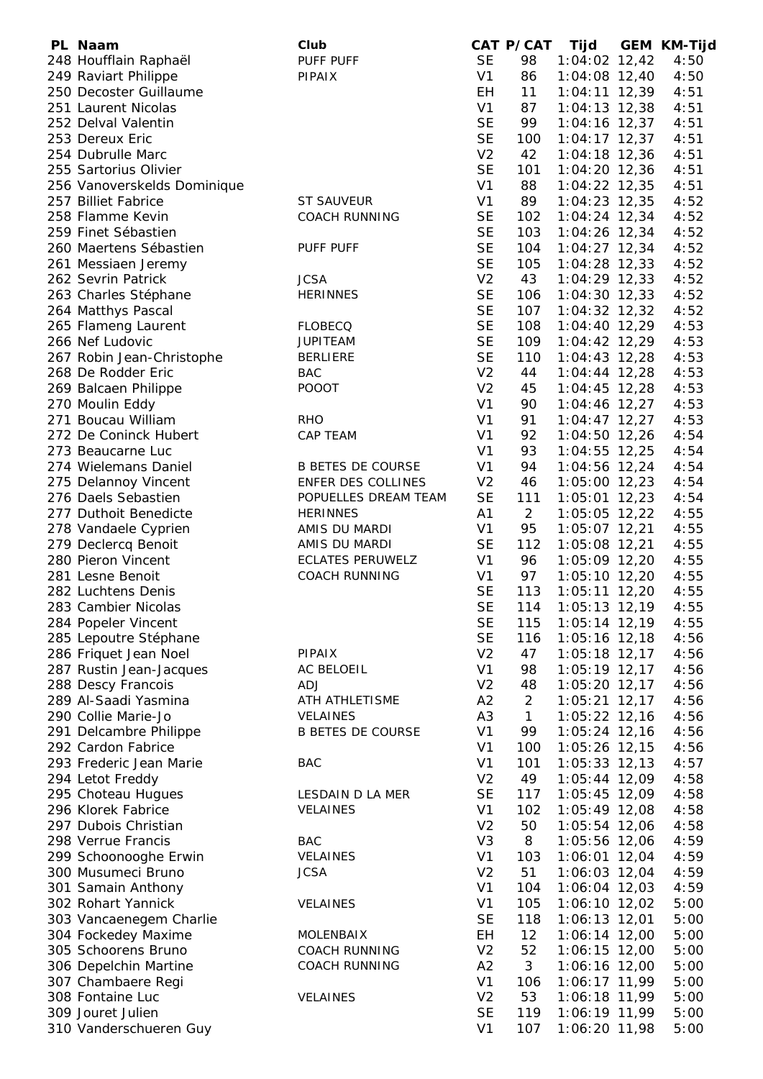| PL Naam                     | Club                     |                | CAT P/CAT      | Tijd            | <b>GEM KM-Tijd</b> |
|-----------------------------|--------------------------|----------------|----------------|-----------------|--------------------|
| 248 Houfflain Raphaël       | PUFF PUFF                | <b>SE</b>      | 98             | $1:04:02$ 12,42 | 4:50               |
| 249 Raviart Philippe        | <b>PIPAIX</b>            | V <sub>1</sub> | 86             | $1:04:08$ 12,40 | 4:50               |
| 250 Decoster Guillaume      |                          | EH             | 11             | $1:04:11$ 12,39 | 4:51               |
| 251 Laurent Nicolas         |                          | V <sub>1</sub> | 87             | $1:04:13$ 12,38 | 4:51               |
| 252 Delval Valentin         |                          | <b>SE</b>      | 99             | $1:04:16$ 12,37 | 4:51               |
| 253 Dereux Eric             |                          | <b>SE</b>      | 100            | $1:04:17$ 12,37 | 4:51               |
| 254 Dubrulle Marc           |                          | V <sub>2</sub> | 42             | $1:04:18$ 12,36 | 4:51               |
| 255 Sartorius Olivier       |                          | <b>SE</b>      | 101            | $1:04:20$ 12,36 | 4:51               |
| 256 Vanoverskelds Dominique |                          | V <sub>1</sub> | 88             | $1:04:22$ 12,35 | 4:51               |
| 257 Billiet Fabrice         | <b>ST SAUVEUR</b>        | V <sub>1</sub> | 89             | $1:04:23$ 12,35 | 4:52               |
| 258 Flamme Kevin            | <b>COACH RUNNING</b>     | <b>SE</b>      | 102            | $1:04:24$ 12,34 | 4:52               |
| 259 Finet Sébastien         |                          | <b>SE</b>      | 103            | $1:04:26$ 12,34 | 4:52               |
| 260 Maertens Sébastien      | PUFF PUFF                | <b>SE</b>      | 104            | $1:04:27$ 12,34 | 4:52               |
| 261 Messiaen Jeremy         |                          | <b>SE</b>      | 105            | $1:04:28$ 12,33 | 4:52               |
| 262 Sevrin Patrick          | <b>JCSA</b>              | V <sub>2</sub> | 43             | $1:04:29$ 12,33 | 4:52               |
| 263 Charles Stéphane        | <b>HERINNES</b>          | <b>SE</b>      | 106            | $1:04:30$ 12,33 | 4:52               |
| 264 Matthys Pascal          |                          | <b>SE</b>      | 107            | $1:04:32$ 12,32 | 4:52               |
| 265 Flameng Laurent         | <b>FLOBECQ</b>           | <b>SE</b>      | 108            | $1:04:40$ 12,29 | 4:53               |
| 266 Nef Ludovic             | <b>JUPITEAM</b>          | <b>SE</b>      | 109            | 1:04:42 12,29   | 4:53               |
| 267 Robin Jean-Christophe   | <b>BERLIERE</b>          | <b>SE</b>      | 110            | $1:04:43$ 12,28 | 4:53               |
| 268 De Rodder Eric          | <b>BAC</b>               | V <sub>2</sub> | 44             | $1:04:44$ 12,28 | 4:53               |
| 269 Balcaen Philippe        | <b>POOOT</b>             | V <sub>2</sub> | 45             | $1:04:45$ 12,28 | 4:53               |
| 270 Moulin Eddy             |                          | V <sub>1</sub> | 90             | $1:04:46$ 12,27 | 4:53               |
| 271 Boucau William          | <b>RHO</b>               | V <sub>1</sub> | 91             | $1:04:47$ 12,27 | 4:53               |
| 272 De Coninck Hubert       | CAP TEAM                 | V <sub>1</sub> | 92             | $1:04:50$ 12,26 | 4:54               |
| 273 Beaucarne Luc           |                          | V <sub>1</sub> | 93             | $1:04:55$ 12,25 | 4:54               |
| 274 Wielemans Daniel        | <b>B BETES DE COURSE</b> | V <sub>1</sub> | 94             | 1:04:56 12,24   | 4:54               |
|                             | ENFER DES COLLINES       | V <sub>2</sub> | 46             |                 | 4:54               |
| 275 Delannoy Vincent        |                          |                |                | $1:05:00$ 12,23 |                    |
| 276 Daels Sebastien         | POPUELLES DREAM TEAM     | <b>SE</b>      | 111            | $1:05:01$ 12,23 | 4:54               |
| 277 Duthoit Benedicte       | <b>HERINNES</b>          | A1             | $\overline{2}$ | $1:05:05$ 12,22 | 4:55               |
| 278 Vandaele Cyprien        | AMIS DU MARDI            | V <sub>1</sub> | 95             | 1:05:07 12,21   | 4:55               |
| 279 Declercq Benoit         | AMIS DU MARDI            | <b>SE</b>      | 112            | 1:05:08 12,21   | 4:55               |
| 280 Pieron Vincent          | <b>ECLATES PERUWELZ</b>  | V <sub>1</sub> | 96             | 1:05:09 12,20   | 4:55               |
| 281 Lesne Benoit            | <b>COACH RUNNING</b>     | V <sub>1</sub> | 97             | $1:05:10$ 12,20 | 4:55               |
| 282 Luchtens Denis          |                          | <b>SE</b>      | 113            | $1:05:11$ 12,20 | 4:55               |
| 283 Cambier Nicolas         |                          | <b>SE</b>      | 114            | $1:05:13$ 12,19 | 4:55               |
| 284 Popeler Vincent         |                          | <b>SE</b>      | 115            | 1:05:14 12,19   | 4:55               |
| 285 Lepoutre Stéphane       |                          | <b>SE</b>      | 116            | $1:05:16$ 12,18 | 4:56               |
| 286 Friquet Jean Noel       | <b>PIPAIX</b>            | V <sub>2</sub> | 47             | $1:05:18$ 12,17 | 4:56               |
| 287 Rustin Jean-Jacques     | AC BELOEIL               | V <sub>1</sub> | 98             | $1:05:19$ 12,17 | 4:56               |
| 288 Descy Francois          | <b>ADJ</b>               | V <sub>2</sub> | 48             | $1:05:20$ 12,17 | 4:56               |
| 289 Al-Saadi Yasmina        | ATH ATHLETISME           | A2             | $\overline{2}$ | $1:05:21$ 12,17 | 4:56               |
| 290 Collie Marie-Jo         | VELAINES                 | A <sub>3</sub> | $\mathbf{1}$   | $1:05:22$ 12,16 | 4:56               |
| 291 Delcambre Philippe      | <b>B BETES DE COURSE</b> | V <sub>1</sub> | 99             | $1:05:24$ 12,16 | 4:56               |
| 292 Cardon Fabrice          |                          | V <sub>1</sub> | 100            | $1:05:26$ 12,15 | 4:56               |
| 293 Frederic Jean Marie     | <b>BAC</b>               | V <sub>1</sub> | 101            | $1:05:33$ 12,13 | 4:57               |
| 294 Letot Freddy            |                          | V <sub>2</sub> | 49             | $1:05:44$ 12,09 | 4:58               |
| 295 Choteau Hugues          | LESDAIN D LA MER         | <b>SE</b>      | 117            | 1:05:45 12,09   | 4:58               |
| 296 Klorek Fabrice          | VELAINES                 | V <sub>1</sub> | 102            | 1:05:49 12,08   | 4:58               |
| 297 Dubois Christian        |                          | V <sub>2</sub> | 50             | 1:05:54 12,06   | 4:58               |
| 298 Verrue Francis          | <b>BAC</b>               | V <sub>3</sub> | 8              | 1:05:56 12,06   | 4:59               |
| 299 Schoonooghe Erwin       | VELAINES                 | V <sub>1</sub> | 103            | $1:06:01$ 12,04 | 4:59               |
| 300 Musumeci Bruno          | <b>JCSA</b>              | V <sub>2</sub> | 51             | $1:06:03$ 12,04 | 4:59               |
| 301 Samain Anthony          |                          | V <sub>1</sub> | 104            | 1:06:04 12,03   | 4:59               |
| 302 Rohart Yannick          | <b>VELAINES</b>          | V <sub>1</sub> | 105            | $1:06:10$ 12,02 | 5:00               |
| 303 Vancaenegem Charlie     |                          | <b>SE</b>      | 118            | 1:06:13 12,01   | 5:00               |
| 304 Fockedey Maxime         | <b>MOLENBAIX</b>         | EH             | 12             | $1:06:14$ 12,00 | 5:00               |
| 305 Schoorens Bruno         | <b>COACH RUNNING</b>     | V <sub>2</sub> | 52             | 1:06:15 12,00   | 5:00               |
| 306 Depelchin Martine       | <b>COACH RUNNING</b>     | A2             | 3              | 1:06:16 12,00   | 5:00               |
| 307 Chambaere Regi          |                          | V <sub>1</sub> | 106            | 1:06:17 11,99   | 5:00               |
| 308 Fontaine Luc            | VELAINES                 | V <sub>2</sub> | 53             | 1:06:18 11,99   | 5:00               |
| 309 Jouret Julien           |                          | <b>SE</b>      | 119            | 1:06:19 11,99   | 5:00               |
| 310 Vanderschueren Guy      |                          | V <sub>1</sub> | 107            | 1:06:20 11,98   | 5:00               |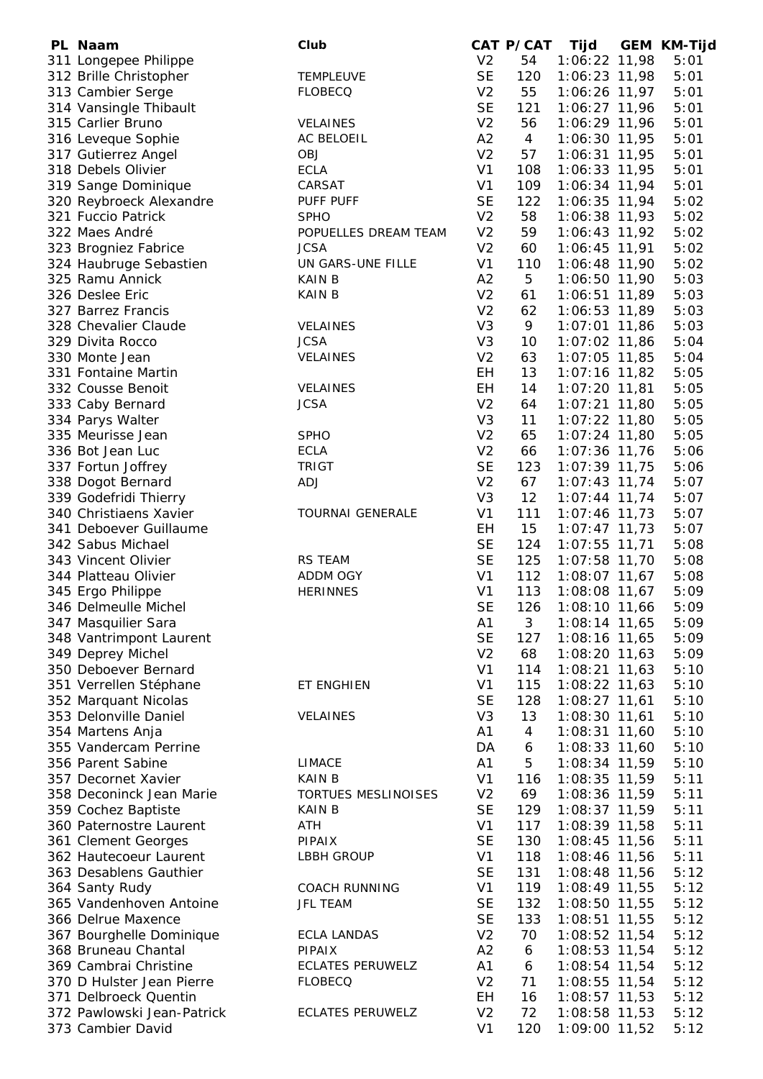| PL Naam                    | Club                    |                | CAT P/CAT      | Tijd            | <b>GEM KM-Tijd</b> |
|----------------------------|-------------------------|----------------|----------------|-----------------|--------------------|
| 311 Longepee Philippe      |                         | V <sub>2</sub> | 54             | 1:06:22 11,98   | 5:01               |
| 312 Brille Christopher     | <b>TEMPLEUVE</b>        | <b>SE</b>      | 120            | $1:06:23$ 11,98 | 5:01               |
| 313 Cambier Serge          | <b>FLOBECQ</b>          | V <sub>2</sub> | 55             | 1:06:26 11,97   | 5:01               |
| 314 Vansingle Thibault     |                         | <b>SE</b>      | 121            | 1:06:27 11,96   | 5:01               |
| 315 Carlier Bruno          | VELAINES                | V <sub>2</sub> | 56             | 1:06:29 11,96   | 5:01               |
| 316 Leveque Sophie         | AC BELOEIL              | A2             | $\overline{4}$ | $1:06:30$ 11,95 | 5:01               |
| 317 Gutierrez Angel        | <b>OBJ</b>              | V <sub>2</sub> | 57             | $1:06:31$ 11,95 | 5:01               |
| 318 Debels Olivier         | <b>ECLA</b>             | V <sub>1</sub> | 108            | 1:06:33 11,95   | 5:01               |
| 319 Sange Dominique        | CARSAT                  | V <sub>1</sub> | 109            | 1:06:34 11,94   | 5:01               |
| 320 Reybroeck Alexandre    | PUFF PUFF               | <b>SE</b>      | 122            | 1:06:35 11,94   | 5:02               |
| 321 Fuccio Patrick         | <b>SPHO</b>             | V <sub>2</sub> | 58             | 1:06:38 11,93   | 5:02               |
| 322 Maes André             | POPUELLES DREAM TEAM    | V <sub>2</sub> | 59             | 1:06:43 11,92   | 5:02               |
| 323 Brogniez Fabrice       | <b>JCSA</b>             | V <sub>2</sub> | 60             | $1:06:45$ 11,91 | 5:02               |
| 324 Haubruge Sebastien     | UN GARS-UNE FILLE       | V <sub>1</sub> | 110            | 1:06:48 11,90   | 5:02               |
| 325 Ramu Annick            | <b>KAIN B</b>           | A2             | 5              | 1:06:50 11,90   | 5:03               |
| 326 Deslee Eric            | <b>KAINB</b>            | V <sub>2</sub> | 61             | 1:06:51 11,89   | 5:03               |
| 327 Barrez Francis         |                         | V <sub>2</sub> | 62             | 1:06:53 11,89   | 5:03               |
| 328 Chevalier Claude       | <b>VELAINES</b>         | V <sub>3</sub> | 9              | $1:07:01$ 11,86 | 5:03               |
| 329 Divita Rocco           | <b>JCSA</b>             | V <sub>3</sub> | 10             | $1:07:02$ 11,86 | 5:04               |
| 330 Monte Jean             | VELAINES                | V <sub>2</sub> | 63             | $1:07:05$ 11,85 | 5:04               |
| 331 Fontaine Martin        |                         | EH             | 13             | $1:07:16$ 11,82 | 5:05               |
| 332 Cousse Benoit          | <b>VELAINES</b>         | <b>EH</b>      | 14             | 1:07:20 11,81   | 5:05               |
| 333 Caby Bernard           | <b>JCSA</b>             | V <sub>2</sub> | 64             | $1:07:21$ 11,80 | 5:05               |
| 334 Parys Walter           |                         | V <sub>3</sub> | 11             | 1:07:22 11,80   | 5:05               |
| 335 Meurisse Jean          | <b>SPHO</b>             | V <sub>2</sub> | 65             | $1:07:24$ 11,80 | 5:05               |
| 336 Bot Jean Luc           | <b>ECLA</b>             | V <sub>2</sub> | 66             | 1:07:36 11,76   | 5:06               |
| 337 Fortun Joffrey         | <b>TRIGT</b>            | <b>SE</b>      | 123            | $1:07:39$ 11,75 | 5:06               |
| 338 Dogot Bernard          | <b>ADJ</b>              | V <sub>2</sub> | 67             | $1:07:43$ 11,74 | 5:07               |
| 339 Godefridi Thierry      |                         | V <sub>3</sub> | 12             | $1:07:44$ 11,74 | 5:07               |
| 340 Christiaens Xavier     | <b>TOURNAI GENERALE</b> | V <sub>1</sub> | 111            | 1:07:46 11,73   | 5:07               |
| 341 Deboever Guillaume     |                         | EH             | 15             | $1:07:47$ 11,73 | 5:07               |
| 342 Sabus Michael          |                         | <b>SE</b>      | 124            | 1:07:55 11,71   | 5:08               |
| 343 Vincent Olivier        | <b>RS TEAM</b>          | <b>SE</b>      | 125            | $1:07:58$ 11,70 | 5:08               |
| 344 Platteau Olivier       | ADDM OGY                | V <sub>1</sub> | 112            | $1:08:07$ 11,67 | 5:08               |
| 345 Ergo Philippe          | <b>HERINNES</b>         | V <sub>1</sub> | 113            | $1:08:08$ 11,67 | 5:09               |
| 346 Delmeulle Michel       |                         | <b>SE</b>      | 126            | 1:08:10 11,66   | 5:09               |
| 347 Masquilier Sara        |                         | A1             | 3              | 1:08:14 11,65   | 5:09               |
| 348 Vantrimpont Laurent    |                         | <b>SE</b>      | 127            | 1:08:16 11,65   | 5:09               |
| 349 Deprey Michel          |                         | V <sub>2</sub> | 68             | $1:08:20$ 11,63 | 5:09               |
| 350 Deboever Bernard       |                         | V <sub>1</sub> | 114            | $1:08:21$ 11,63 | 5:10               |
| 351 Verrellen Stéphane     | ET ENGHIEN              | V <sub>1</sub> | 115            | 1:08:22 11,63   | 5:10               |
| 352 Marquant Nicolas       |                         | <b>SE</b>      | 128            | $1:08:27$ 11,61 | 5:10               |
| 353 Delonville Daniel      | <b>VELAINES</b>         | V <sub>3</sub> | 13             | 1:08:30 11,61   | 5:10               |
| 354 Martens Anja           |                         | A1             | 4              | 1:08:31 11,60   | 5:10               |
| 355 Vandercam Perrine      |                         | DA             | 6              | 1:08:33 11,60   | 5:10               |
| 356 Parent Sabine          | <b>LIMACE</b>           | A1             | 5              | 1:08:34 11,59   | 5:10               |
| 357 Decornet Xavier        | <b>KAIN B</b>           | V <sub>1</sub> | 116            | $1:08:35$ 11,59 | 5:11               |
| 358 Deconinck Jean Marie   | TORTUES MESLINOISES     | V <sub>2</sub> | 69             | 1:08:36 11,59   | 5:11               |
| 359 Cochez Baptiste        | <b>KAIN B</b>           | <b>SE</b>      | 129            | $1:08:37$ 11,59 | 5:11               |
| 360 Paternostre Laurent    | ATH                     | V <sub>1</sub> | 117            | 1:08:39 11,58   | 5:11               |
| 361 Clement Georges        | <b>PIPAIX</b>           | <b>SE</b>      | 130            | $1:08:45$ 11,56 | 5:11               |
| 362 Hautecoeur Laurent     | <b>LBBH GROUP</b>       | V <sub>1</sub> | 118            | 1:08:46 11,56   | 5:11               |
| 363 Desablens Gauthier     |                         | <b>SE</b>      | 131            | 1:08:48 11,56   | 5:12               |
| 364 Santy Rudy             | <b>COACH RUNNING</b>    | V <sub>1</sub> | 119            | 1:08:49 11,55   | 5:12               |
| 365 Vandenhoven Antoine    | <b>JFL TEAM</b>         | <b>SE</b>      | 132            | 1:08:50 11,55   | 5:12               |
| 366 Delrue Maxence         |                         | <b>SE</b>      | 133            | 1:08:51 11,55   | 5:12               |
| 367 Bourghelle Dominique   | <b>ECLA LANDAS</b>      | V <sub>2</sub> | 70             | $1:08:52$ 11,54 | 5:12               |
| 368 Bruneau Chantal        | <b>PIPAIX</b>           | A2             | 6              | $1:08:53$ 11,54 | 5:12               |
| 369 Cambrai Christine      | <b>ECLATES PERUWELZ</b> | A1             | 6              | $1:08:54$ 11,54 | 5:12               |
| 370 D Hulster Jean Pierre  | <b>FLOBECQ</b>          | V <sub>2</sub> | 71             | 1:08:55 11,54   | 5:12               |
| 371 Delbroeck Quentin      |                         | <b>EH</b>      | 16             | $1:08:57$ 11,53 | 5:12               |
| 372 Pawlowski Jean-Patrick | <b>ECLATES PERUWELZ</b> | V <sub>2</sub> | 72             | 1:08:58 11,53   | 5:12               |
| 373 Cambier David          |                         | V <sub>1</sub> | 120            | 1:09:00 11,52   | 5:12               |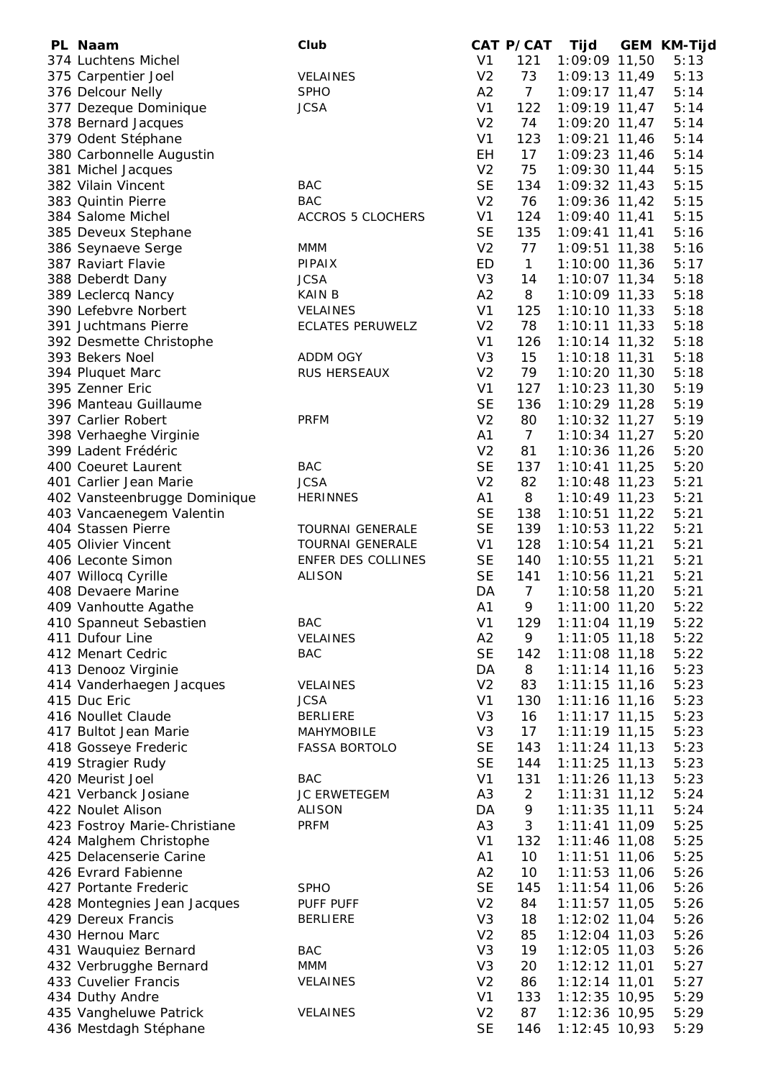| PL Naam                      | Club                     |                | CAT P/CAT       | Tijd            | <b>GEM KM-Tijd</b> |
|------------------------------|--------------------------|----------------|-----------------|-----------------|--------------------|
| 374 Luchtens Michel          |                          | V <sub>1</sub> | 121             | 1:09:09 11,50   | 5:13               |
| 375 Carpentier Joel          | <b>VELAINES</b>          | V <sub>2</sub> | 73              | 1:09:13 11,49   | 5:13               |
| 376 Delcour Nelly            | <b>SPHO</b>              | A2             | $7\overline{ }$ | $1:09:17$ 11,47 | 5:14               |
| 377 Dezeque Dominique        | <b>JCSA</b>              | V <sub>1</sub> | 122             | $1:09:19$ 11,47 | 5:14               |
| 378 Bernard Jacques          |                          | V <sub>2</sub> | 74              | 1:09:20 11,47   | 5:14               |
| 379 Odent Stéphane           |                          | V <sub>1</sub> | 123             | 1:09:21 11,46   | 5:14               |
| 380 Carbonnelle Augustin     |                          | <b>EH</b>      | 17              | 1:09:23 11,46   | 5:14               |
| 381 Michel Jacques           |                          | V <sub>2</sub> | 75              | $1:09:30$ 11,44 | 5:15               |
| 382 Vilain Vincent           | <b>BAC</b>               | <b>SE</b>      | 134             | $1:09:32$ 11,43 | 5:15               |
| 383 Quintin Pierre           | <b>BAC</b>               | V <sub>2</sub> | 76              | 1:09:36 11,42   | 5:15               |
| 384 Salome Michel            | <b>ACCROS 5 CLOCHERS</b> | V <sub>1</sub> | 124             | $1:09:40$ 11,41 | 5:15               |
| 385 Deveux Stephane          |                          | <b>SE</b>      | 135             | $1:09:41$ 11,41 | 5:16               |
| 386 Seynaeve Serge           | <b>MMM</b>               | V <sub>2</sub> | 77              | $1:09:51$ 11,38 | 5:16               |
| 387 Raviart Flavie           | PIPAIX                   | ED             | $\mathbf{1}$    | $1:10:00$ 11,36 | 5:17               |
| 388 Deberdt Dany             | <b>JCSA</b>              | V <sub>3</sub> | 14              | 1:10:07 11,34   | 5:18               |
| 389 Leclercq Nancy           | <b>KAIN B</b>            | A2             | 8               | $1:10:09$ 11,33 | 5:18               |
| 390 Lefebvre Norbert         | <b>VELAINES</b>          | V <sub>1</sub> | 125             | $1:10:10$ 11,33 | 5:18               |
| 391 Juchtmans Pierre         | <b>ECLATES PERUWELZ</b>  | V <sub>2</sub> | 78              | $1:10:11$ 11,33 | 5:18               |
| 392 Desmette Christophe      |                          | V <sub>1</sub> | 126             | $1:10:14$ 11,32 | 5:18               |
| 393 Bekers Noel              | ADDM OGY                 | V <sub>3</sub> | 15              | $1:10:18$ 11,31 | 5:18               |
| 394 Pluquet Marc             | RUS HERSEAUX             | V <sub>2</sub> | 79              | 1:10:20 11,30   | 5:18               |
| 395 Zenner Eric              |                          | V <sub>1</sub> | 127             | 1:10:23 11,30   | 5:19               |
| 396 Manteau Guillaume        |                          | <b>SE</b>      | 136             | 1:10:29 11,28   | 5:19               |
| 397 Carlier Robert           | <b>PRFM</b>              | V <sub>2</sub> | 80              | $1:10:32$ 11,27 | 5:19               |
| 398 Verhaeghe Virginie       |                          | A1             | $7\overline{ }$ | $1:10:34$ 11,27 | 5:20               |
| 399 Ladent Frédéric          |                          | V <sub>2</sub> | 81              | 1:10:36 11,26   | 5:20               |
| 400 Coeuret Laurent          | <b>BAC</b>               | <b>SE</b>      | 137             | $1:10:41$ 11,25 | 5:20               |
| 401 Carlier Jean Marie       | <b>JCSA</b>              | V <sub>2</sub> | 82              | 1:10:48 11,23   | 5:21               |
| 402 Vansteenbrugge Dominique | <b>HERINNES</b>          | A1             | 8               | $1:10:49$ 11,23 | 5:21               |
| 403 Vancaenegem Valentin     |                          | <b>SE</b>      | 138             | $1:10:51$ 11,22 | 5:21               |
| 404 Stassen Pierre           | <b>TOURNAI GENERALE</b>  | <b>SE</b>      | 139             | $1:10:53$ 11,22 | 5:21               |
| 405 Olivier Vincent          | <b>TOURNAI GENERALE</b>  | V <sub>1</sub> | 128             | $1:10:54$ 11,21 | 5:21               |
| 406 Leconte Simon            | ENFER DES COLLINES       | <b>SE</b>      | 140             | $1:10:55$ 11,21 | 5:21               |
| 407 Willocq Cyrille          | <b>ALISON</b>            | <b>SE</b>      | 141             | 1:10:56 11,21   | 5:21               |
| 408 Devaere Marine           |                          | DA             | $\overline{7}$  | 1:10:58 11,20   | 5:21               |
| 409 Vanhoutte Agathe         |                          | A1             | 9               | 1:11:00 11,20   | 5:22               |
| 410 Spanneut Sebastien       | <b>BAC</b>               | V <sub>1</sub> | 129             | 1:11:04 11,19   | 5:22               |
| 411 Dufour Line              | VELAINES                 | A2             | 9               | $1:11:05$ 11,18 | 5:22               |
| 412 Menart Cedric            | <b>BAC</b>               | <b>SE</b>      | 142             | $1:11:08$ 11,18 | 5:22               |
| 413 Denooz Virginie          |                          | DA             | 8               | $1:11:14$ 11,16 | 5:23               |
| 414 Vanderhaegen Jacques     | <b>VELAINES</b>          | V <sub>2</sub> | 83              | $1:11:15$ 11,16 | 5:23               |
| 415 Duc Eric                 | <b>JCSA</b>              | V <sub>1</sub> | 130             | $1:11:16$ 11,16 | 5:23               |
| 416 Noullet Claude           | <b>BERLIERE</b>          | V <sub>3</sub> | 16              | $1:11:17$ 11,15 | 5:23               |
| 417 Bultot Jean Marie        | MAHYMOBILE               | V <sub>3</sub> | 17              | $1:11:19$ 11,15 | 5:23               |
| 418 Gosseye Frederic         | <b>FASSA BORTOLO</b>     | <b>SE</b>      | 143             | $1:11:24$ 11,13 | 5:23               |
| 419 Stragier Rudy            |                          | <b>SE</b>      | 144             | $1:11:25$ 11,13 | 5:23               |
| 420 Meurist Joel             | <b>BAC</b>               | V <sub>1</sub> | 131             | $1:11:26$ 11,13 | 5:23               |
| 421 Verbanck Josiane         | JC ERWETEGEM             | A <sub>3</sub> | $\overline{2}$  | $1:11:31$ 11,12 | 5:24               |
| 422 Noulet Alison            | <b>ALISON</b>            | DA             | 9               | $1:11:35$ 11,11 | 5:24               |
| 423 Fostroy Marie-Christiane | <b>PRFM</b>              | A <sub>3</sub> | 3               | $1:11:41$ 11,09 | 5:25               |
| 424 Malghem Christophe       |                          | V <sub>1</sub> | 132             | $1:11:46$ 11,08 | 5:25               |
| 425 Delacenserie Carine      |                          | A <sub>1</sub> | 10              | $1:11:51$ 11,06 | 5:25               |
| 426 Evrard Fabienne          |                          | A2             | 10              | $1:11:53$ 11,06 | 5:26               |
| 427 Portante Frederic        | <b>SPHO</b>              | <b>SE</b>      | 145             | 1:11:54 11,06   | 5:26               |
| 428 Montegnies Jean Jacques  | PUFF PUFF                | V <sub>2</sub> | 84              | $1:11:57$ 11,05 | 5:26               |
| 429 Dereux Francis           | <b>BERLIERE</b>          | V <sub>3</sub> | 18              | 1:12:02 11,04   | 5:26               |
| 430 Hernou Marc              |                          | V <sub>2</sub> | 85              | $1:12:04$ 11,03 | 5:26               |
| 431 Wauquiez Bernard         | <b>BAC</b>               | V <sub>3</sub> | 19              | $1:12:05$ 11,03 | 5:26               |
| 432 Verbrugghe Bernard       | MMM                      | V <sub>3</sub> | 20              | $1:12:12$ 11,01 | 5:27               |
| 433 Cuvelier Francis         | VELAINES                 | V <sub>2</sub> | 86              | $1:12:14$ 11,01 | 5:27               |
| 434 Duthy Andre              |                          | V <sub>1</sub> | 133             | $1:12:35$ 10,95 | 5:29               |
| 435 Vangheluwe Patrick       | VELAINES                 | V <sub>2</sub> | 87              | 1:12:36 10,95   | 5:29               |
| 436 Mestdagh Stéphane        |                          | <b>SE</b>      | 146             | 1:12:45 10,93   | 5:29               |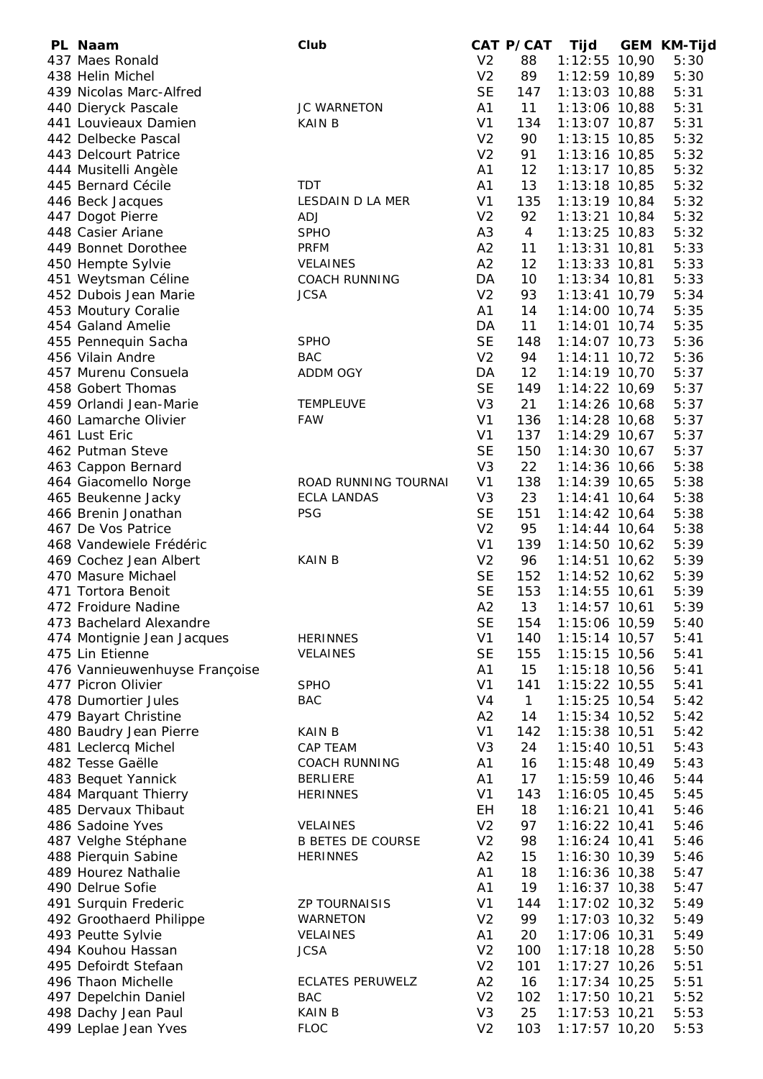| PL Naam                       | Club                     |                | CAT P/CAT      | Tijd            | <b>GEM KM-Tijd</b> |
|-------------------------------|--------------------------|----------------|----------------|-----------------|--------------------|
| 437 Maes Ronald               |                          | V <sub>2</sub> | 88             | 1:12:55 10,90   | 5:30               |
| 438 Helin Michel              |                          | V <sub>2</sub> | 89             | 1:12:59 10,89   | 5:30               |
| 439 Nicolas Marc-Alfred       |                          | <b>SE</b>      | 147            | 1:13:03 10,88   | 5:31               |
| 440 Dieryck Pascale           | <b>JC WARNETON</b>       | A1             | 11             | 1:13:06 10,88   | 5:31               |
| 441 Louvieaux Damien          | <b>KAIN B</b>            | V <sub>1</sub> | 134            | 1:13:07 10,87   | 5:31               |
| 442 Delbecke Pascal           |                          | V <sub>2</sub> | 90             | $1:13:15$ 10,85 | 5:32               |
| 443 Delcourt Patrice          |                          | V <sub>2</sub> | 91             | 1:13:16 10,85   | 5:32               |
| 444 Musitelli Angèle          |                          | A1             | 12             | $1:13:17$ 10,85 | 5:32               |
| 445 Bernard Cécile            | <b>TDT</b>               | A <sub>1</sub> | 13             | $1:13:18$ 10,85 | 5:32               |
| 446 Beck Jacques              | LESDAIN D LA MER         | V <sub>1</sub> | 135            | $1:13:19$ 10,84 | 5:32               |
| 447 Dogot Pierre              | <b>ADJ</b>               | V <sub>2</sub> | 92             | $1:13:21$ 10,84 | 5:32               |
| 448 Casier Ariane             | <b>SPHO</b>              | A <sub>3</sub> | $\overline{4}$ | $1:13:25$ 10,83 | 5:32               |
| 449 Bonnet Dorothee           | <b>PRFM</b>              | A2             | 11             | $1:13:31$ 10,81 | 5:33               |
| 450 Hempte Sylvie             | <b>VELAINES</b>          | A2             | 12             | $1:13:33$ 10,81 | 5:33               |
| 451 Weytsman Céline           | <b>COACH RUNNING</b>     | DA             | 10             | $1:13:34$ 10,81 | 5:33               |
| 452 Dubois Jean Marie         | <b>JCSA</b>              | V <sub>2</sub> | 93             | $1:13:41$ 10,79 | 5:34               |
| 453 Moutury Coralie           |                          | A1             | 14             | $1:14:00$ 10,74 | 5:35               |
| 454 Galand Amelie             |                          | DA             | 11             | $1:14:01$ 10,74 | 5:35               |
| 455 Pennequin Sacha           | <b>SPHO</b>              | <b>SE</b>      | 148            | $1:14:07$ 10,73 | 5:36               |
| 456 Vilain Andre              | <b>BAC</b>               | V <sub>2</sub> | 94             | $1:14:11$ 10,72 | 5:36               |
| 457 Murenu Consuela           | ADDM OGY                 | DA             | 12             | 1:14:19 10,70   | 5:37               |
| 458 Gobert Thomas             |                          | <b>SE</b>      | 149            | $1:14:22$ 10,69 | 5:37               |
| 459 Orlandi Jean-Marie        | <b>TEMPLEUVE</b>         | V <sub>3</sub> | 21             | $1:14:26$ 10,68 | 5:37               |
| 460 Lamarche Olivier          | <b>FAW</b>               | V <sub>1</sub> | 136            | 1:14:28 10,68   | 5:37               |
| 461 Lust Eric                 |                          | V <sub>1</sub> | 137            | $1:14:29$ 10,67 | 5:37               |
| 462 Putman Steve              |                          | <b>SE</b>      | 150            | $1:14:30$ 10,67 | 5:37               |
| 463 Cappon Bernard            |                          | V <sub>3</sub> | 22             | $1:14:36$ 10,66 | 5:38               |
| 464 Giacomello Norge          | ROAD RUNNING TOURNAI     | V <sub>1</sub> | 138            | 1:14:39 10,65   | 5:38               |
| 465 Beukenne Jacky            | <b>ECLA LANDAS</b>       | V <sub>3</sub> | 23             | $1:14:41$ 10,64 | 5:38               |
| 466 Brenin Jonathan           | <b>PSG</b>               | <b>SE</b>      | 151            | $1:14:42$ 10,64 | 5:38               |
| 467 De Vos Patrice            |                          | V <sub>2</sub> | 95             | $1:14:44$ 10,64 | 5:38               |
| 468 Vandewiele Frédéric       |                          | V <sub>1</sub> | 139            | 1:14:50 10,62   | 5:39               |
| 469 Cochez Jean Albert        | <b>KAINB</b>             | V <sub>2</sub> | 96             | $1:14:51$ 10,62 | 5:39               |
| 470 Masure Michael            |                          | <b>SE</b>      | 152            | $1:14:52$ 10,62 | 5:39               |
| 471 Tortora Benoit            |                          | <b>SE</b>      | 153            | $1:14:55$ 10,61 | 5:39               |
| 472 Froidure Nadine           |                          | A2             | 13             | $1:14:57$ 10,61 | 5:39               |
| 473 Bachelard Alexandre       |                          | <b>SE</b>      | 154            | 1:15:06 10,59   | 5:40               |
| 474 Montignie Jean Jacques    | <b>HERINNES</b>          | V <sub>1</sub> | 140            | $1:15:14$ 10,57 | 5:41               |
| 475 Lin Etienne               | <b>VELAINES</b>          | <b>SE</b>      | 155            | $1:15:15$ 10,56 | 5:41               |
| 476 Vannieuwenhuyse Françoise |                          | A <sub>1</sub> | 15             | $1:15:18$ 10,56 | 5:41               |
| 477 Picron Olivier            | <b>SPHO</b>              | V <sub>1</sub> | 141            | 1:15:22 10,55   | 5:41               |
| 478 Dumortier Jules           | <b>BAC</b>               | V <sub>4</sub> | $\mathbf{1}$   | 1:15:25 10,54   | 5:42               |
| 479 Bayart Christine          |                          | A <sub>2</sub> | 14             | 1:15:34 10,52   | 5:42               |
| 480 Baudry Jean Pierre        | <b>KAINB</b>             | V <sub>1</sub> | 142            | 1:15:38 10,51   | 5:42               |
| 481 Leclercq Michel           | <b>CAP TEAM</b>          | V <sub>3</sub> | 24             | $1:15:40$ 10,51 | 5:43               |
| 482 Tesse Gaëlle              | <b>COACH RUNNING</b>     | A1             | 16             | $1:15:48$ 10,49 | 5:43               |
| 483 Bequet Yannick            | <b>BERLIERE</b>          | A1             | 17             | $1:15:59$ 10,46 | 5:44               |
| 484 Marquant Thierry          | <b>HERINNES</b>          | V <sub>1</sub> | 143            | $1:16:05$ 10,45 | 5:45               |
| 485 Dervaux Thibaut           |                          | EH             | 18             | $1:16:21$ 10,41 | 5:46               |
| 486 Sadoine Yves              | <b>VELAINES</b>          | V <sub>2</sub> | 97             | $1:16:22$ 10,41 | 5:46               |
| 487 Velghe Stéphane           | <b>B BETES DE COURSE</b> | V <sub>2</sub> | 98             | $1:16:24$ 10,41 | 5:46               |
| 488 Pierquin Sabine           | <b>HERINNES</b>          | A2             | 15             | $1:16:30$ 10,39 | 5:46               |
| 489 Hourez Nathalie           |                          | A <sub>1</sub> | 18             | $1:16:36$ 10,38 | 5:47               |
| 490 Delrue Sofie              |                          | A <sub>1</sub> | 19             | $1:16:37$ 10,38 | 5:47               |
| 491 Surquin Frederic          | <b>ZP TOURNAISIS</b>     | V <sub>1</sub> | 144            | $1:17:02$ 10,32 | 5:49               |
| 492 Groothaerd Philippe       | <b>WARNETON</b>          | V <sub>2</sub> | 99             | $1:17:03$ 10,32 | 5:49               |
| 493 Peutte Sylvie             | VELAINES                 | A1             | 20             | $1:17:06$ 10,31 | 5:49               |
| 494 Kouhou Hassan             | <b>JCSA</b>              | V <sub>2</sub> | 100            | $1:17:18$ 10,28 | 5:50               |
| 495 Defoirdt Stefaan          |                          | V <sub>2</sub> | 101            | $1:17:27$ 10,26 | 5:51               |
| 496 Thaon Michelle            | <b>ECLATES PERUWELZ</b>  | A2             | 16             | $1:17:34$ 10,25 | 5:51               |
| 497 Depelchin Daniel          | <b>BAC</b>               | V <sub>2</sub> | 102            | $1:17:50$ 10,21 | 5:52               |
| 498 Dachy Jean Paul           | <b>KAIN B</b>            | V <sub>3</sub> | 25             | 1:17:53 10,21   | 5:53               |
| 499 Leplae Jean Yves          | <b>FLOC</b>              | V <sub>2</sub> | 103            | $1:17:57$ 10,20 | 5:53               |
|                               |                          |                |                |                 |                    |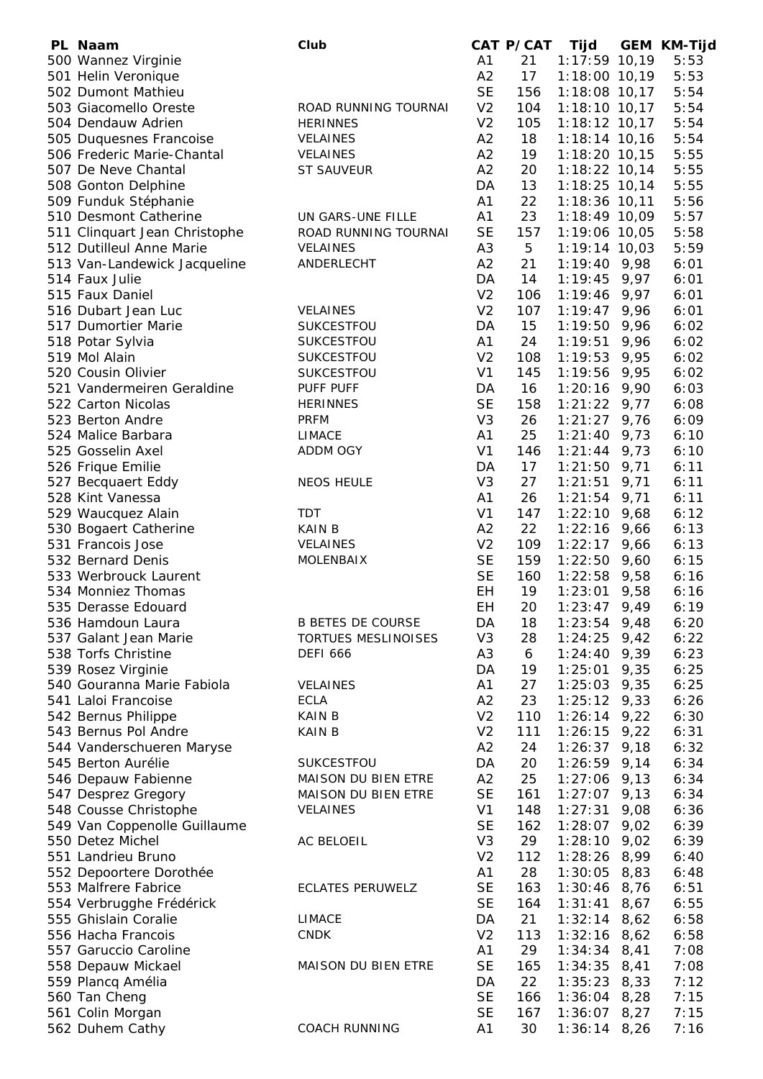| PL Naam                       | Club                       |                | CAT P/CAT | Tijd            |      | <b>GEM KM-Tijd</b> |
|-------------------------------|----------------------------|----------------|-----------|-----------------|------|--------------------|
| 500 Wannez Virginie           |                            | A <sub>1</sub> | 21        | $1:17:59$ 10,19 |      | 5:53               |
| 501 Helin Veronique           |                            | A2             | 17        | $1:18:00$ 10,19 |      | 5:53               |
| 502 Dumont Mathieu            |                            | <b>SE</b>      | 156       | $1:18:08$ 10,17 |      | 5:54               |
| 503 Giacomello Oreste         | ROAD RUNNING TOURNAI       | V <sub>2</sub> | 104       | $1:18:10$ 10,17 |      | 5:54               |
| 504 Dendauw Adrien            | <b>HERINNES</b>            | V <sub>2</sub> | 105       | $1:18:12$ 10,17 |      | 5:54               |
| 505 Duquesnes Francoise       | <b>VELAINES</b>            | A2             | 18        | $1:18:14$ 10,16 |      | 5:54               |
| 506 Frederic Marie-Chantal    | <b>VELAINES</b>            | A2             | 19        | $1:18:20$ 10,15 |      | 5:55               |
| 507 De Neve Chantal           | <b>ST SAUVEUR</b>          | A2             | 20        | $1:18:22$ 10,14 |      | 5:55               |
| 508 Gonton Delphine           |                            | DA             | 13        | $1:18:25$ 10,14 |      | 5:55               |
| 509 Funduk Stéphanie          |                            | A1             | 22        | 1:18:36 10,11   |      | 5:56               |
| 510 Desmont Catherine         | UN GARS-UNE FILLE          | A1             | 23        | 1:18:49 10,09   |      | 5:57               |
| 511 Clinquart Jean Christophe | ROAD RUNNING TOURNAI       | <b>SE</b>      | 157       | 1:19:06 10,05   |      | 5:58               |
| 512 Dutilleul Anne Marie      | <b>VELAINES</b>            | A <sub>3</sub> | 5         | $1:19:14$ 10,03 |      | 5:59               |
| 513 Van-Landewick Jacqueline  | ANDERLECHT                 | A2             | 21        | $1:19:40$ 9,98  |      | 6:01               |
| 514 Faux Julie                |                            | DA             | 14        | 1:19:45         | 9,97 | 6:01               |
| 515 Faux Daniel               |                            | V <sub>2</sub> | 106       | 1:19:46         | 9,97 | 6:01               |
| 516 Dubart Jean Luc           | <b>VELAINES</b>            | V <sub>2</sub> | 107       | 1:19:47         | 9,96 | 6:01               |
| 517 Dumortier Marie           | SUKCESTFOU                 | DA             | 15        | 1:19:50         | 9,96 | 6:02               |
| 518 Potar Sylvia              | SUKCESTFOU                 | A1             | 24        | 1:19:51         | 9,96 | 6:02               |
| 519 Mol Alain                 | SUKCESTFOU                 | V <sub>2</sub> | 108       | 1:19:53         | 9,95 | 6:02               |
| 520 Cousin Olivier            | SUKCESTFOU                 | V <sub>1</sub> | 145       | 1:19:56         | 9,95 | 6:02               |
| 521 Vandermeiren Geraldine    | PUFF PUFF                  | DA             | 16        | 1:20:16         | 9,90 | 6:03               |
| 522 Carton Nicolas            | <b>HERINNES</b>            | <b>SE</b>      | 158       | 1:21:22         | 9,77 | 6:08               |
| 523 Berton Andre              | <b>PRFM</b>                | V <sub>3</sub> | 26        | 1:21:27         | 9,76 | 6:09               |
| 524 Malice Barbara            | <b>LIMACE</b>              | A <sub>1</sub> | 25        | 1:21:40         | 9,73 | 6:10               |
| 525 Gosselin Axel             | ADDM OGY                   | V <sub>1</sub> | 146       | 1:21:44         | 9,73 | 6:10               |
| 526 Frique Emilie             |                            | DA             | 17        | 1:21:50         | 9,71 | 6:11               |
| 527 Becquaert Eddy            | <b>NEOS HEULE</b>          | V <sub>3</sub> | 27        | 1:21:51         | 9,71 | 6:11               |
| 528 Kint Vanessa              |                            | A <sub>1</sub> | 26        | 1:21:54         | 9,71 | 6:11               |
| 529 Waucquez Alain            | TDT                        | V <sub>1</sub> | 147       | $1:22:10$ 9,68  |      | 6:12               |
| 530 Bogaert Catherine         | <b>KAINB</b>               | A2             | 22        | 1:22:16         | 9,66 | 6:13               |
| 531 Francois Jose             | VELAINES                   | V <sub>2</sub> | 109       | $1:22:17$ 9,66  |      | 6:13               |
| 532 Bernard Denis             | <b>MOLENBAIX</b>           | <b>SE</b>      | 159       | 1:22:50         | 9,60 | 6:15               |
| 533 Werbrouck Laurent         |                            | <b>SE</b>      | 160       | $1:22:58$ 9,58  |      | 6:16               |
| 534 Monniez Thomas            |                            | EH             | 19        | 1:23:01         | 9,58 | 6:16               |
| 535 Derasse Edouard           |                            | EН             | 20        | 1:23:47         | 9,49 | 6:19               |
| 536 Hamdoun Laura             | <b>B BETES DE COURSE</b>   | DA             | 18        | $1:23:54$ 9,48  |      | 6:20               |
| 537 Galant Jean Marie         | TORTUES MESLINOISES        | V <sub>3</sub> | 28        | 1:24:25         | 9,42 | 6:22               |
| 538 Torfs Christine           | <b>DEFI 666</b>            | A <sub>3</sub> | 6         | 1:24:40         | 9,39 | 6:23               |
| 539 Rosez Virginie            |                            | DA             | 19        | 1:25:01         | 9,35 | 6:25               |
| 540 Gouranna Marie Fabiola    | <b>VELAINES</b>            | A1             | 27        | 1:25:03         | 9,35 | 6:25               |
| 541 Laloi Francoise           | <b>ECLA</b>                | A2             | 23        | 1:25:12         | 9,33 | 6:26               |
| 542 Bernus Philippe           | <b>KAINB</b>               | V <sub>2</sub> | 110       | 1:26:14         | 9,22 | 6:30               |
| 543 Bernus Pol Andre          | <b>KAINB</b>               | V <sub>2</sub> | 111       | 1:26:15         | 9,22 | 6:31               |
| 544 Vanderschueren Maryse     |                            | A2             | 24        | 1:26:37         | 9,18 | 6:32               |
| 545 Berton Aurélie            | SUKCESTFOU                 | DA             | 20        | 1:26:59         | 9,14 | 6:34               |
| 546 Depauw Fabienne           | MAISON DU BIEN ETRE        | A2             | 25        | 1:27:06         | 9,13 | 6:34               |
| 547 Desprez Gregory           | MAISON DU BIEN ETRE        | <b>SE</b>      | 161       | 1:27:07         | 9,13 | 6:34               |
| 548 Cousse Christophe         | <b>VELAINES</b>            | V <sub>1</sub> | 148       | 1:27:31         | 9,08 | 6:36               |
| 549 Van Coppenolle Guillaume  |                            | <b>SE</b>      | 162       | 1:28:07         | 9,02 | 6:39               |
| 550 Detez Michel              | AC BELOEIL                 | V <sub>3</sub> | 29        | 1:28:10         | 9,02 | 6:39               |
| 551 Landrieu Bruno            |                            | V <sub>2</sub> | 112       | 1:28:26         | 8,99 | 6:40               |
| 552 Depoortere Dorothée       |                            | A1             | 28        | 1:30:05         | 8,83 | 6:48               |
| 553 Malfrere Fabrice          | <b>ECLATES PERUWELZ</b>    | <b>SE</b>      | 163       | 1:30:46         | 8,76 | 6:51               |
| 554 Verbrugghe Frédérick      |                            | <b>SE</b>      | 164       | 1:31:41         | 8,67 | 6:55               |
| 555 Ghislain Coralie          | <b>LIMACE</b>              | DA             | 21        | 1:32:14         | 8,62 | 6:58               |
| 556 Hacha Francois            | <b>CNDK</b>                | V <sub>2</sub> | 113       | 1:32:16         | 8,62 | 6:58               |
| 557 Garuccio Caroline         |                            | A1             | 29        | 1:34:34         | 8,41 | 7:08               |
| 558 Depauw Mickael            | <b>MAISON DU BIEN ETRE</b> | <b>SE</b>      | 165       | 1:34:35         | 8,41 | 7:08               |
| 559 Plancq Amélia             |                            | DA             | 22        | 1:35:23         | 8,33 | 7:12               |
| 560 Tan Cheng                 |                            | <b>SE</b>      | 166       | 1:36:04         | 8,28 | 7:15               |
| 561 Colin Morgan              |                            | <b>SE</b>      | 167       | 1:36:07         | 8,27 | 7:15               |
| 562 Duhem Cathy               | <b>COACH RUNNING</b>       | A1             | 30        | $1:36:14$ 8,26  |      | 7:16               |